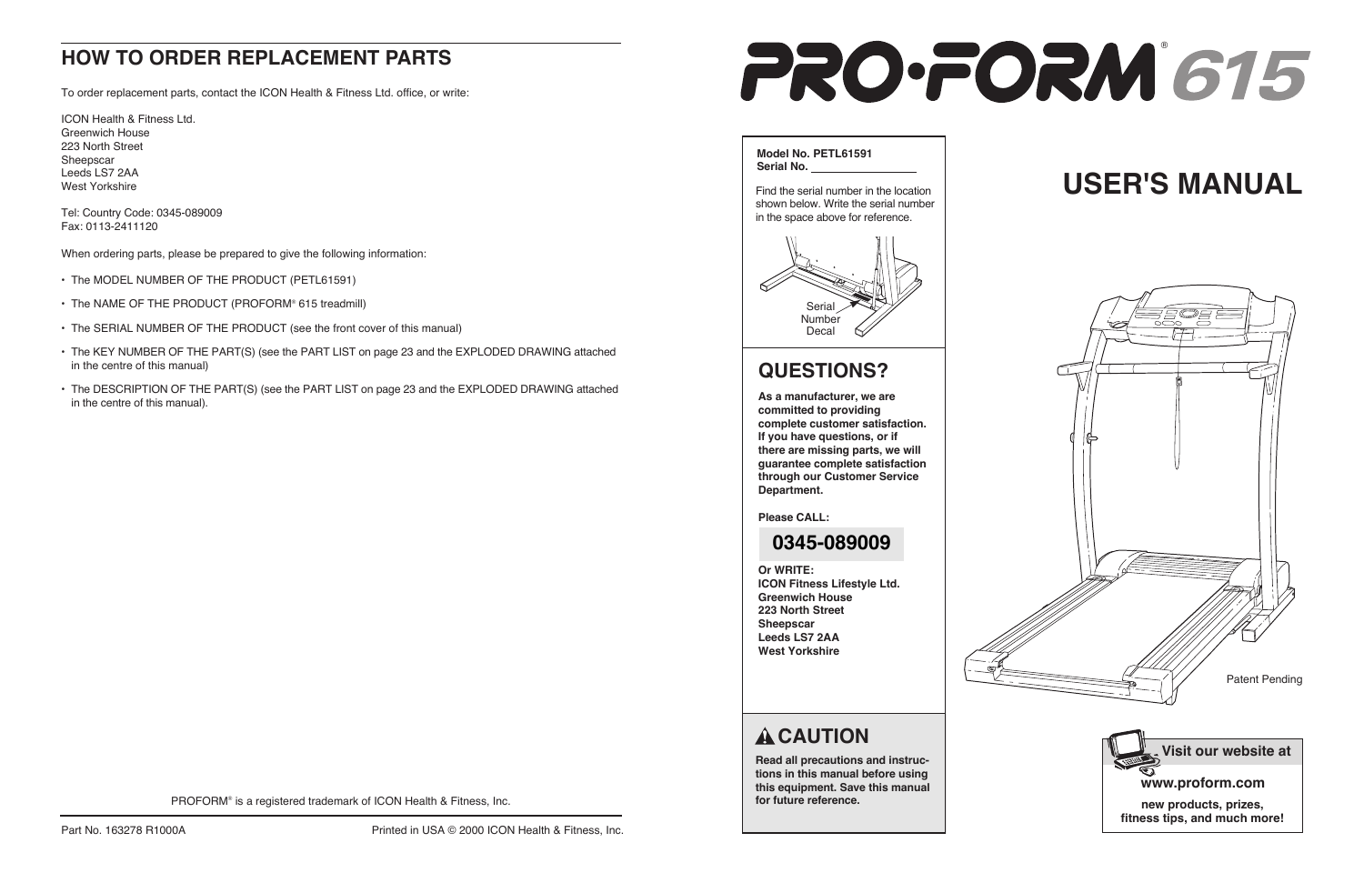# **USER'S MANUAL**



**Read all precautions and instructions in this manual before using this equipment. Save this manual for future reference.**



#### **Model No. PETL61591 Serial No.**

Find the serial number in the location shown below. Write the serial number in the space above for reference.



## **QUESTIONS?**

**As a manufacturer, we are committed to providing complete customer satisfaction. If you have questions, or if there are missing parts, we will guarantee complete satisfaction through our Customer Service Department.**

**Please CALL:**

#### **Or WRITE: ICON Fitness Lifestyle Ltd. Greenwich House 223 North Street Sheepscar Leeds LS7 2AA West Yorkshire**

|  | ź |
|--|---|
|  |   |
|  |   |

## A CAUTION

# **HOW TO ORDER REPLACEMENT PARTS**

To order replacement parts, contact the ICON Health & Fitness Ltd. office, or write:

ICON Health & Fitness Ltd. Greenwich House 223 North Street Sheepscar Leeds LS7 2AA West Yorkshire

Tel: Country Code: 0345-089009 Fax: 0113-2411120

When ordering parts, please be prepared to give the following information:

- The MODEL NUMBER OF THE PRODUCT (PETL61591)
- The NAME OF THE PRODUCT (PROFORM® 615 treadmill)
- The SERIAL NUMBER OF THE PRODUCT (see the front cover of this manual)
- The KEY NUMBER OF THE PART(S) (see the PART LIST on page 23 and the EXPLODED DRAWING attached in the centre of this manual)
- The DESCRIPTION OF THE PART(S) (see the PART LIST on page 23 and the EXPLODED DRAWING attached in the centre of this manual).

PROFORM® is a registered trademark of ICON Health & Fitness, Inc.

## **0345-089009**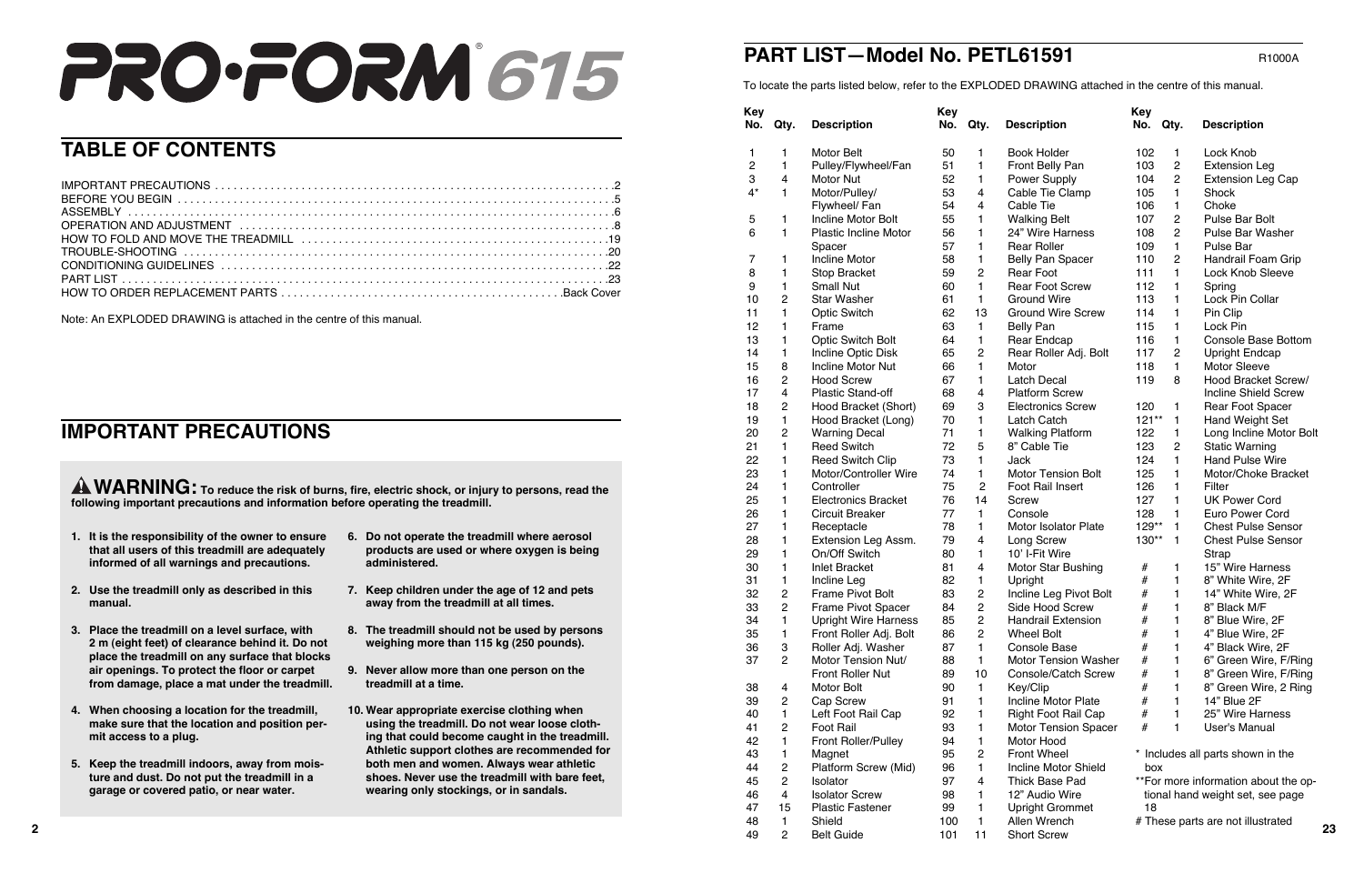| <b>TABLE OF CONTENTS</b>                                                                                           | $\overline{c}$<br>3<br>$4^*$<br>5<br>6<br>8 | $\overline{4}$ | <b>Motor Belt</b><br>Pulley/Flywheel/Fan<br>Motor Nut<br>Motor/Pulley/<br>Flywheel/Fan | 50<br>51<br>52<br>53 |                         | <b>Book Holder</b><br>Front Belly Pan | 102<br>103 | $\overline{2}$ | Lock Knob                            |
|--------------------------------------------------------------------------------------------------------------------|---------------------------------------------|----------------|----------------------------------------------------------------------------------------|----------------------|-------------------------|---------------------------------------|------------|----------------|--------------------------------------|
|                                                                                                                    |                                             |                |                                                                                        |                      |                         |                                       |            |                |                                      |
|                                                                                                                    |                                             |                |                                                                                        |                      |                         |                                       |            |                | <b>Extension Leg</b>                 |
|                                                                                                                    |                                             |                |                                                                                        |                      |                         | Power Supply                          | 104        | $\overline{2}$ | <b>Extension Leg Cap</b>             |
|                                                                                                                    |                                             |                |                                                                                        |                      | $\overline{4}$          | Cable Tie Clamp                       | 105        |                | Shock                                |
|                                                                                                                    |                                             |                |                                                                                        | 54                   |                         | Cable Tie                             | 106        |                | Choke                                |
|                                                                                                                    |                                             |                | Incline Motor Bolt                                                                     | 55                   |                         | <b>Walking Belt</b>                   | 107        | $\overline{2}$ | Pulse Bar Bolt                       |
|                                                                                                                    |                                             |                | <b>Plastic Incline Motor</b>                                                           | 56                   |                         | 24" Wire Harness                      | 108        | $\overline{2}$ | Pulse Bar Washer                     |
|                                                                                                                    |                                             |                | Spacer                                                                                 | 57                   |                         | <b>Rear Roller</b>                    | 109        |                | Pulse Bar                            |
|                                                                                                                    |                                             |                | <b>Incline Motor</b>                                                                   | 58                   |                         | <b>Belly Pan Spacer</b>               | 110        | $\overline{2}$ | Handrail Foam Grip                   |
|                                                                                                                    |                                             |                | <b>Stop Bracket</b>                                                                    | 59                   | $\overline{2}$          | <b>Rear Foot</b>                      | 111        |                | <b>Lock Knob Sleeve</b>              |
|                                                                                                                    | 9                                           |                | <b>Small Nut</b>                                                                       | 60                   | $\overline{\mathbf{1}}$ | <b>Rear Foot Screw</b>                | 112        |                | Spring                               |
|                                                                                                                    | 10                                          | $\overline{2}$ | <b>Star Washer</b>                                                                     | 61                   | -1                      | <b>Ground Wire</b>                    | 113        |                | Lock Pin Collar                      |
|                                                                                                                    | 11                                          |                | <b>Optic Switch</b>                                                                    | 62                   | 13                      | <b>Ground Wire Screw</b>              | 114        |                | Pin Clip                             |
| Note: An EXPLODED DRAWING is attached in the centre of this manual                                                 | 12                                          |                | Frame                                                                                  | 63                   |                         | <b>Belly Pan</b>                      | 115        |                | Lock Pin                             |
|                                                                                                                    | 13                                          |                | <b>Optic Switch Bolt</b>                                                               | 64                   |                         | Rear Endcap                           | 116        |                | <b>Console Base Bottom</b>           |
|                                                                                                                    | 14                                          |                | Incline Optic Disk                                                                     | 65                   | $\overline{2}$          | Rear Roller Adj. Bolt                 | 117        | $\overline{2}$ | <b>Upright Endcap</b>                |
|                                                                                                                    | 15                                          | 8              | <b>Incline Motor Nut</b>                                                               | 66                   |                         | Motor                                 | 118        |                | <b>Motor Sleeve</b>                  |
|                                                                                                                    | 16                                          | $\overline{2}$ | <b>Hood Screw</b>                                                                      | 67                   |                         | <b>Latch Decal</b>                    | 119        | - 8            | <b>Hood Bracket Screw/</b>           |
|                                                                                                                    | 17                                          | $\overline{4}$ | <b>Plastic Stand-off</b>                                                               | 68                   |                         | <b>Platform Screw</b>                 |            |                | <b>Incline Shield Screw</b>          |
|                                                                                                                    | 18                                          | $\overline{2}$ | Hood Bracket (Short)                                                                   | 69                   | 3                       | <b>Electronics Screw</b>              | $120 \t1$  |                | <b>Rear Foot Spacer</b>              |
|                                                                                                                    | 19                                          |                | Hood Bracket (Long)                                                                    | 70                   |                         | <b>Latch Catch</b>                    | $121**$ 1  |                | <b>Hand Weight Set</b>               |
| <b>IMPORTANT PRECAUTIONS</b>                                                                                       | 20                                          | $\overline{2}$ | <b>Warning Decal</b>                                                                   | 71                   |                         | <b>Walking Platform</b>               | 122        |                | Long Incline Motor Bolt              |
|                                                                                                                    | 21                                          |                | <b>Reed Switch</b>                                                                     | 72                   | 5                       | 8" Cable Tie                          | 123        | $\overline{2}$ | <b>Static Warning</b>                |
|                                                                                                                    | 22                                          |                | Reed Switch Clip                                                                       | 73                   |                         | Jack                                  | 124        |                | <b>Hand Pulse Wire</b>               |
|                                                                                                                    | 23                                          |                | Motor/Controller Wire                                                                  | 74                   |                         | <b>Motor Tension Bolt</b>             | 125        |                | Motor/Choke Bracket                  |
|                                                                                                                    | 24                                          |                | Controller                                                                             | 75                   | $\overline{2}$          | Foot Rail Insert                      | 126        |                | Filter                               |
| <b>A WARNING:</b> To reduce the risk of burns, fire, electric shock, or injury to persons, read the                | 25                                          |                | <b>Electronics Bracket</b>                                                             | 76                   | 14                      | Screw                                 | 127        |                | <b>UK Power Cord</b>                 |
| following important precautions and information before operating the treadmill.                                    |                                             |                |                                                                                        |                      |                         |                                       | 128        |                |                                      |
|                                                                                                                    | 26                                          |                | <b>Circuit Breaker</b>                                                                 | 77                   |                         | Console                               |            |                | Euro Power Cord                      |
| 1. It is the responsibility of the owner to ensure<br>6. Do not operate the treadmill where aerosol                | 27                                          |                | Receptacle                                                                             | 78                   |                         | <b>Motor Isolator Plate</b>           | $129**$ 1  |                | <b>Chest Pulse Sensor</b>            |
| that all users of this treadmill are adequately<br>products are used or where oxygen is being                      | 28                                          |                | Extension Leg Assm.                                                                    | 79                   | $\overline{4}$          | Long Screw                            | $130**$    |                | <b>Chest Pulse Sensor</b>            |
| informed of all warnings and precautions.<br>administered.                                                         | 29                                          |                | On/Off Switch                                                                          | 80                   |                         | 10' I-Fit Wire                        |            |                | Strap                                |
|                                                                                                                    | 30                                          |                | <b>Inlet Bracket</b>                                                                   | 81                   |                         | <b>Motor Star Bushing</b>             |            |                | 15" Wire Harness                     |
| 2. Use the treadmill only as described in this<br>7. Keep children under the age of 12 and pets                    | 31                                          |                | Incline Leg                                                                            | 82                   |                         | Upright                               |            |                | 8" White Wire, 2F                    |
| manual.<br>away from the treadmill at all times.                                                                   | 32                                          | $\overline{2}$ | <b>Frame Pivot Bolt</b>                                                                | 83                   | $\overline{2}$          | Incline Leg Pivot Bolt                |            |                | 14" White Wire, 2F                   |
|                                                                                                                    | 33                                          | $\overline{2}$ | Frame Pivot Spacer                                                                     | 84                   | $\overline{2}$          | Side Hood Screw                       |            |                | 8" Black M/F                         |
| 8. The treadmill should not be used by persons<br>3. Place the treadmill on a level surface, with                  | 34                                          |                | <b>Upright Wire Harness</b>                                                            | 85                   | $\overline{2}$          | <b>Handrail Extension</b>             |            |                | 8" Blue Wire, 2F                     |
| 2 m (eight feet) of clearance behind it. Do not<br>weighing more than 115 kg (250 pounds).                         | 35                                          |                | Front Roller Adj. Bolt                                                                 | 86                   | $\overline{2}$          | <b>Wheel Bolt</b>                     |            |                | 4" Blue Wire, 2F                     |
| place the treadmill on any surface that blocks                                                                     | 36                                          | $\mathbf{3}$   | Roller Adj. Washer                                                                     | 87                   |                         | Console Base                          |            |                | 4" Black Wire, 2F                    |
|                                                                                                                    | 37                                          | $\overline{2}$ | Motor Tension Nut/                                                                     | 88                   |                         | <b>Motor Tension Washer</b>           |            |                | 6" Green Wire, F/Ring                |
| air openings. To protect the floor or carpet<br>9. Never allow more than one person on the<br>treadmill at a time. |                                             |                | Front Roller Nut                                                                       | 89                   | 10                      | Console/Catch Screw                   |            |                | 8" Green Wire, F/Ring                |
| from damage, place a mat under the treadmill.                                                                      | 38                                          | $\overline{4}$ | Motor Bolt                                                                             | 90                   |                         | Key/Clip                              |            |                | 8" Green Wire, 2 Ring                |
|                                                                                                                    | 39                                          | $\overline{2}$ | Cap Screw                                                                              | 91                   |                         | Incline Motor Plate                   |            |                | 14" Blue 2F                          |
| 4. When choosing a location for the treadmill,<br>10. Wear appropriate exercise clothing when                      | 40                                          |                | Left Foot Rail Cap                                                                     | 92                   |                         | <b>Right Foot Rail Cap</b>            |            |                | 25" Wire Harness                     |
| make sure that the location and position per-<br>using the treadmill. Do not wear loose cloth-                     | 41                                          | $\overline{2}$ | Foot Rail                                                                              | 93                   |                         | <b>Motor Tension Spacer</b>           |            |                | User's Manual                        |
| ing that could become caught in the treadmill.<br>mit access to a plug.                                            | 42                                          |                | <b>Front Roller/Pulley</b>                                                             | 94                   |                         | Motor Hood                            |            |                |                                      |
| Athletic support clothes are recommended for                                                                       | 43                                          |                | Magnet                                                                                 | 95                   | $\overline{2}$          | Front Wheel                           |            |                | * Includes all parts shown in the    |
| 5. Keep the treadmill indoors, away from mois-<br>both men and women. Always wear athletic                         | 44                                          | $\overline{2}$ | Platform Screw (Mid)                                                                   | 96                   |                         | Incline Motor Shield                  | box        |                |                                      |
| ture and dust. Do not put the treadmill in a<br>shoes. Never use the treadmill with bare feet,                     | 45                                          | $\overline{2}$ | Isolator                                                                               | 97                   |                         | Thick Base Pad                        |            |                | **For more information about the op- |
| garage or covered patio, or near water.<br>wearing only stockings, or in sandals.                                  | 46                                          | $\overline{4}$ | <b>Isolator Screw</b>                                                                  | 98                   |                         | 12" Audio Wire                        |            |                | tional hand weight set, see page     |
|                                                                                                                    | 47                                          | 15             | <b>Plastic Fastener</b>                                                                | 99                   |                         | <b>Upright Grommet</b>                | 18         |                |                                      |
|                                                                                                                    | 48                                          |                | Shield                                                                                 | 100                  | $\mathbf 1$             | Allen Wrench                          |            |                | # These parts are not illustrated    |
|                                                                                                                    | 49                                          | $\overline{2}$ | <b>Belt Guide</b>                                                                      | 101                  | 11                      | <b>Short Screw</b>                    |            |                | 23                                   |

| <b><ey< b=""></ey<></b> |                |                             | <b>Key</b> |                |                                      |
|-------------------------|----------------|-----------------------------|------------|----------------|--------------------------------------|
| No.                     | Qty.           | <b>Description</b>          | No.        | Qty.           | <b>Description</b>                   |
| 50                      | 1              | <b>Book Holder</b>          | 102        | 1              | Lock Knob                            |
| 51                      | 1              | Front Belly Pan             | 103        | $\overline{c}$ | <b>Extension Leg</b>                 |
| 52                      | 1              | <b>Power Supply</b>         | 104        | 2              | <b>Extension Leg Cap</b>             |
| 53                      | 4              | Cable Tie Clamp             | 105        | 1              | Shock                                |
| 54                      | 4              | Cable Tie                   | 106        | 1              | Choke                                |
| 55                      | 1              | <b>Walking Belt</b>         | 107        | 2              | Pulse Bar Bolt                       |
| 56                      | 1              | 24" Wire Harness            | 108        | $\overline{c}$ | Pulse Bar Washer                     |
| 57                      | 1              | <b>Rear Roller</b>          | 109        | 1              | <b>Pulse Bar</b>                     |
| 58                      | 1              | <b>Belly Pan Spacer</b>     | 110        | $\overline{c}$ | Handrail Foam Grip                   |
| 59                      | $\overline{c}$ | <b>Rear Foot</b>            | 111        | 1              | Lock Knob Sleeve                     |
| 60                      | 1              | <b>Rear Foot Screw</b>      | 112        | 1              | Spring                               |
| 61                      | $\mathbf{1}$   | <b>Ground Wire</b>          | 113        | 1              | Lock Pin Collar                      |
| 62                      | 13             | <b>Ground Wire Screw</b>    | 114        | 1              | Pin Clip                             |
| 63                      | 1              | <b>Belly Pan</b>            | 115        | 1              | Lock Pin                             |
| 64                      | 1              | <b>Rear Endcap</b>          | 116        | 1              | Console Base Bottom                  |
| 65                      | $\overline{c}$ | Rear Roller Adj. Bolt       | 117        | $\overline{c}$ | <b>Upright Endcap</b>                |
| 66                      | 1              | Motor                       | 118        | 1              | <b>Motor Sleeve</b>                  |
| 67                      | 1              | <b>Latch Decal</b>          | 119        | 8              | Hood Bracket Screw/                  |
| 68                      | 4              | <b>Platform Screw</b>       |            |                | <b>Incline Shield Screw</b>          |
| 69                      | 3              | <b>Electronics Screw</b>    | 120        | 1              | Rear Foot Spacer                     |
| 70                      | 1              | <b>Latch Catch</b>          | $121**$    | 1              | Hand Weight Set                      |
| 71                      | 1              | <b>Walking Platform</b>     | 122        | 1              | Long Incline Motor Bolt              |
| 72                      | 5              | 8" Cable Tie                | 123        | $\overline{c}$ | <b>Static Warning</b>                |
| 73                      | 1              | Jack                        | 124        | 1              | <b>Hand Pulse Wire</b>               |
| 74                      | 1              | <b>Motor Tension Bolt</b>   | 125        | 1              | Motor/Choke Bracket                  |
| 75                      | $\overline{c}$ | Foot Rail Insert            | 126        | 1              | Filter                               |
| 76                      | 14             | Screw                       | 127        | 1              | <b>UK Power Cord</b>                 |
| 77                      | 1              | Console                     | 128        | 1              | Euro Power Cord                      |
| 78                      | 1              | Motor Isolator Plate        | 129**      | 1              | <b>Chest Pulse Sensor</b>            |
| 79                      | 4              | Long Screw                  | 130**      | 1              | <b>Chest Pulse Sensor</b>            |
| 80                      | 1              | 10' I-Fit Wire              |            |                | <b>Strap</b>                         |
| 81                      | 4              | <b>Motor Star Bushing</b>   | #          | 1              | 15" Wire Harness                     |
| 82                      | 1              | Upright                     | #          | 1              | 8" White Wire, 2F                    |
| 83                      | $\overline{c}$ | Incline Leg Pivot Bolt      | #          | 1              | 14" White Wire, 2F                   |
| 84                      | 2              | Side Hood Screw             | #          | 1              | 8" Black M/F                         |
| 85                      | 2              | <b>Handrail Extension</b>   | #          | 1              | 8" Blue Wire, 2F                     |
| 86                      | 2              | <b>Wheel Bolt</b>           | #          | 1              | 4" Blue Wire, 2F                     |
| 87                      | 1              | Console Base                | #          | 1              | 4" Black Wire, 2F                    |
| 88                      | 1              | <b>Motor Tension Washer</b> | #          | 1              | 6" Green Wire, F/Ring                |
| 89                      | 10             | Console/Catch Screw         | #          | 1              | 8" Green Wire, F/Ring                |
| 90                      | 1              | Key/Clip                    | #          | 1              | 8" Green Wire, 2 Ring                |
| 91                      | 1              | Incline Motor Plate         | #          | 1              | 14" Blue 2F                          |
| 92                      | 1              | <b>Right Foot Rail Cap</b>  | #          | 1              | 25" Wire Harness                     |
| 93                      | 1              | Motor Tension Spacer        | #          | 1              | User's Manual                        |
| 94                      | 1              | Motor Hood                  |            |                |                                      |
| 95                      | 2              | <b>Front Wheel</b>          |            |                | Includes all parts shown in the      |
| 96                      | 1              | Incline Motor Shield        | box        |                |                                      |
| 97                      | 4              | <b>Thick Base Pad</b>       |            |                | **For more information about the op- |
| 98                      | 1              | 12" Audio Wire              |            |                | tional hand weight set, see page     |
| 99                      | 1              | <b>Upright Grommet</b>      | 18         |                |                                      |
| 100                     | 1              | Allen Wrench                |            |                | # These parts are not illustrated    |
|                         |                |                             |            |                |                                      |

To locate the parts listed below, refer to the EXPLODED DRAWING attached in the centre of this manual.

# PRO•FORM<sup>615</sup>

## **TABLE OF CONTENTS**

## **IMPORTANT PRECAUTIONS**

- **1. It is the responsibility of the owner to ensure that all users of this treadmill are adequately informed of all warnings and precautions.**
- **2. Use the treadmill only as described in this manual.**
- **3. Place the treadmill on a level surface, with 2 m (eight feet) of clearance behind it. Do not place the treadmill on any surface that blocks air openings. To protect the floor or carpet from damage, place a mat under the treadmill.**
- **4. When choosing a location for the treadmill, make sure that the location and position permit access to a plug.**
- **5. Keep the treadmill indoors, away from moisture and dust. Do not put the treadmill in a garage or covered patio, or near water.**
- **6. Do not operate the treadmill where aerosol products are used or where oxygen is being administered.**
- **7. Keep children under the age of 12 and pets away from the treadmill at all times.**
- **8. The treadmill should not be used by persons weighing more than 115 kg (250 pounds).**
- **9. Never allow more than one person on the treadmill at a time.**
- **10. Wear appropriate exercise clothing when using the treadmill. Do not wear loose clothing that could become caught in the treadmill. Athletic support clothes are recommended for both men and women. Always wear athletic shoes. Never use the treadmill with bare feet, wearing only stockings, or in sandals.**

# **PART LIST—Model No. PETL61591** R1000A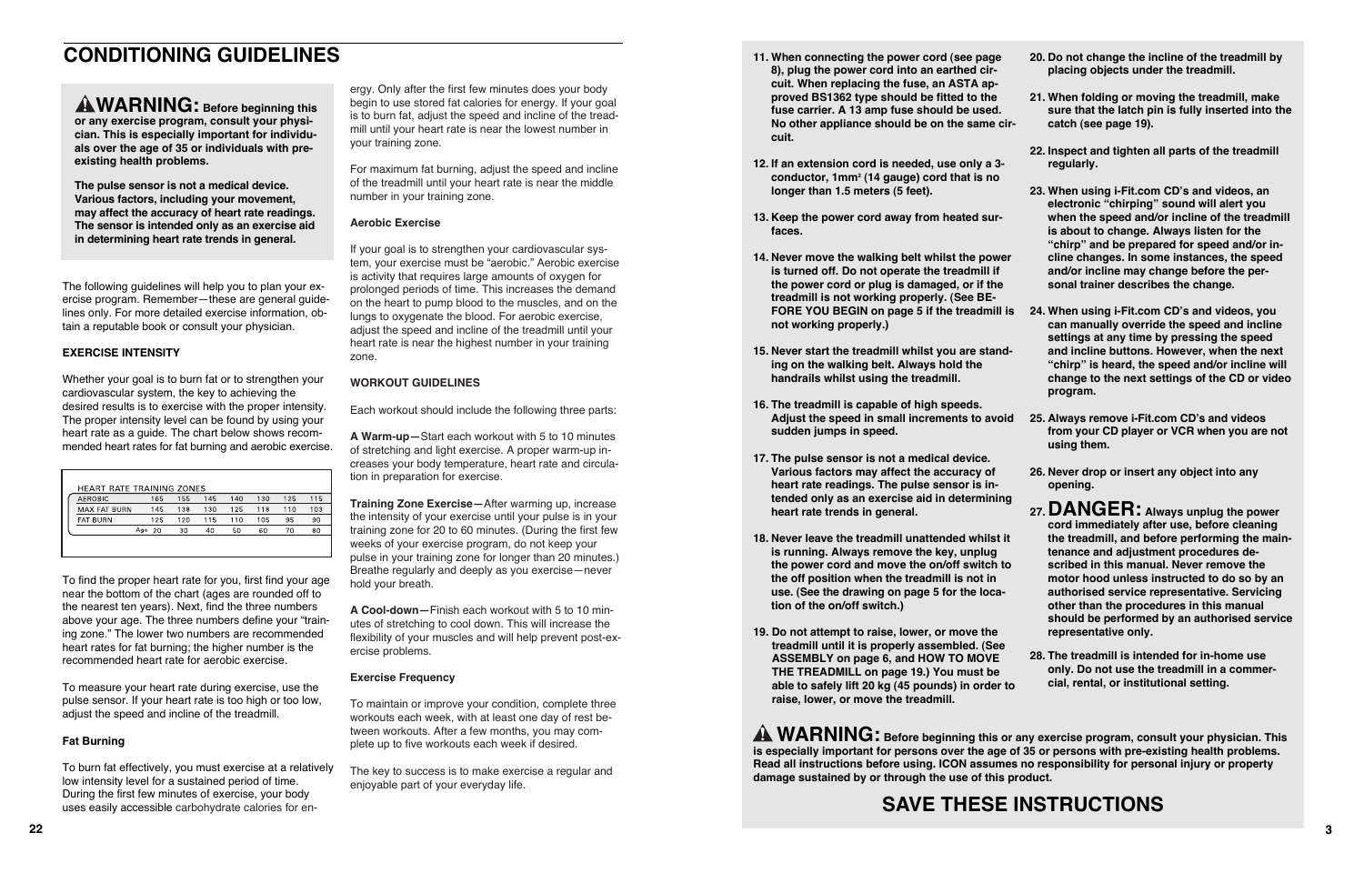# **CONDITIONING GUIDELINES**

The following guidelines will help you to plan your exercise program. Remember—these are general guidelines only. For more detailed exercise information, obtain a reputable book or consult your physician.

#### **EXERCISE INTENSITY**

To find the proper heart rate for you, first find your age near the bottom of the chart (ages are rounded off to the nearest ten years). Next, find the three numbers above your age. The three numbers define your "training zone." The lower two numbers are recommended heart rates for fat burning; the higher number is the recommended heart rate for aerobic exercise. **AN WARRINING C Before beginning this bogin to use stored at calcolor at a state of the team which are also the seperation of the singular particular the singular state and the singular state of the singular particular th** 

Whether your goal is to burn fat or to strengthen your cardiovascular system, the key to achieving the desired results is to exercise with the proper intensity. The proper intensity level can be found by using your heart rate as a guide. The chart below shows recommended heart rates for fat burning and aerobic exercise.

| <b>HEART RATE TRAINING ZONES</b> |     |     |     |     |     |     |     |     |
|----------------------------------|-----|-----|-----|-----|-----|-----|-----|-----|
| <b>AEROBIC</b>                   |     | 165 | 155 | 145 | 140 | 130 | 125 | 115 |
| <b>MAX FAT BURN</b>              |     | 145 | 138 | 130 | 125 | 118 | 110 | 103 |
| <b>FAT BURN</b>                  |     | 125 | 120 | 115 | 110 | 105 | 95  | 90  |
|                                  | Age | 20  | 30  | 40  | 50  | 60  | 70  | 80  |
|                                  |     |     |     |     |     |     |     |     |

your training zone.<br>For maximum fat burning, adjust the speed and incline of the treadmill until your heart rate is near the middle number in your training zone.

To measure your heart rate during exercise, use the pulse sensor. If your heart rate is too high or too low, adjust the speed and incline of the treadmill.

### **Fat Burning**

To burn fat effectively, you must exercise at a relatively low intensity level for a sustained period of time. During the first few minutes of exercise, your body uses easily accessible carbohydrate calories for en-

ergy. Only after the first few minutes does your body begin to use stored fat calories for energy. If your goal is to burn fat, adjust the speed and incline of the tread mill until your heart rate is near the lowest number in

#### **Aerobic Exercise**

If your goal is to strengthen your cardiovascular sys tem, your exercise must be "aerobic." Aerobic exercise is activity that requires large amounts of oxygen for prolonged periods of time. This increases the demand on the heart to pump blood to the muscles, and on the lungs to oxygenate the blood. For aerobic exercise, adjust the speed and incline of the treadmill until your heart rate is near the highest number in your training zone.

## **WORKOUT GUIDELINES**

Each workout should include the following three parts:

**A Warm-up—**Start each workout with 5 to 10 minutes of stretching and light exercise. A proper warm-up in creases your body temperature, heart rate and circula tion in preparation for exercise.

**Training Zone Exercise—**After warming up, increase the intensity of your exercise until your pulse is in your training zone for 20 to 60 minutes. (During the first few weeks of your exercise program, do not keep your pulse in your training zone for longer than 20 minutes.) Breathe regularly and deeply as you exercise—never hold your breath.

**A Cool-down—**Finish each workout with 5 to 10 min utes of stretching to cool down. This will increase the flexibility of your muscles and will help prevent post-ex ercise problems.

### **Exercise Frequency**

To maintain or improve your condition, complete three workouts each week, with at least one day of rest be tween workouts. After a few months, you may com-

plete up to five workouts each week if desired.<br>The key to success is to make exercise a regular and<br>enjoyable part of your everyday life.

**WARNING:** Before beginning this or any exercise program, consult your physician. This **is especially important for persons over the age of 35 or persons with pre-existing health problems. Read all instructions before using. ICON assumes no responsibility for personal injury or property damage sustained by or through the use of this product.**

- **11. When connecting the power cord (see page 8), plug the power cord into an earthed circuit. When replacing the fuse, an ASTA approved BS1362 type should be fitted to the fuse carrier. A 13 amp fuse should be used. No other appliance should be on the same circuit.**
- **12. If an extension cord is needed, use only a 3 conductor, 1mm2 (14 gauge) cord that is no longer than 1.5 meters (5 feet).**
- **13. Keep the power cord away from heated surfaces.**
- **14. Never move the walking belt whilst the power is turned off. Do not operate the treadmill if the power cord or plug is damaged, or if the treadmill is not working properly. (See BEnot working properly.)**
- **FORE YOU BEGIN on page 5 if the treadmill is 24. When using i-Fit.com CD's and videos, you 15. Never start the treadmill whilst you are standing on the walking belt. Always hold the handrails whilst using the treadmill. can manually override the speed and incline settings at any time by pressing the speed and incline buttons. However, when the next "chirp" is heard, the speed and/or incline will change to the next settings of the CD or video program.**
- **16. The treadmill is capable of high speeds. Adjust the speed in small increments to avoid sudden jumps in speed. 25. Always remove i-Fit.com CD's and videos from your CD player or VCR when you are not using them.**
- **17. The pulse sensor is not a medical device. Various factors may affect the accuracy of heart rate readings. The pulse sensor is intended only as an exercise aid in determining heart rate trends in general.**
- **18. Never leave the treadmill unattended whilst it is running. Always remove the key, unplug the power cord and move the on/off switch to the off position when the treadmill is not in use. (See the drawing on page 5 for the location of the on/off switch.)**
- **19. Do not attempt to raise, lower, or move the treadmill until it is properly assembled. (See ASSEMBLY on page 6, and HOW TO MOVE THE TREADMILL on page 19.) You must be able to safely lift 20 kg (45 pounds) in order to raise, lower, or move the treadmill. representative only. 28. The treadmill is intended for in-home use only. Do not use the treadmill in a commercial, rental, or institutional setting.**
- **20. Do not change the incline of the treadmill by placing objects under the treadmill.**
- **21. When folding or moving the treadmill, make sure that the latch pin is fully inserted into the catch (see page 19).**
- **22. Inspect and tighten all parts of the treadmill regularly.**
- **23. When using i-Fit.com CD's and videos, an electronic "chirping" sound will alert you when the speed and/or incline of the treadmill is about to change. Always listen for the "chirp" and be prepared for speed and/or incline changes. In some instances, the speed and/or incline may change before the personal trainer describes the change.**

- **26. Never drop or insert any object into any opening.**
- 

**27.DANGER: Always unplug the power cord immediately after use, before cleaning the treadmill, and before performing the maintenance and adjustment procedures described in this manual. Never remove the motor hood unless instructed to do so by an authorised service representative. Servicing other than the procedures in this manual should be performed by an authorised service**

# **SAVE THESE INSTRUCTIONS**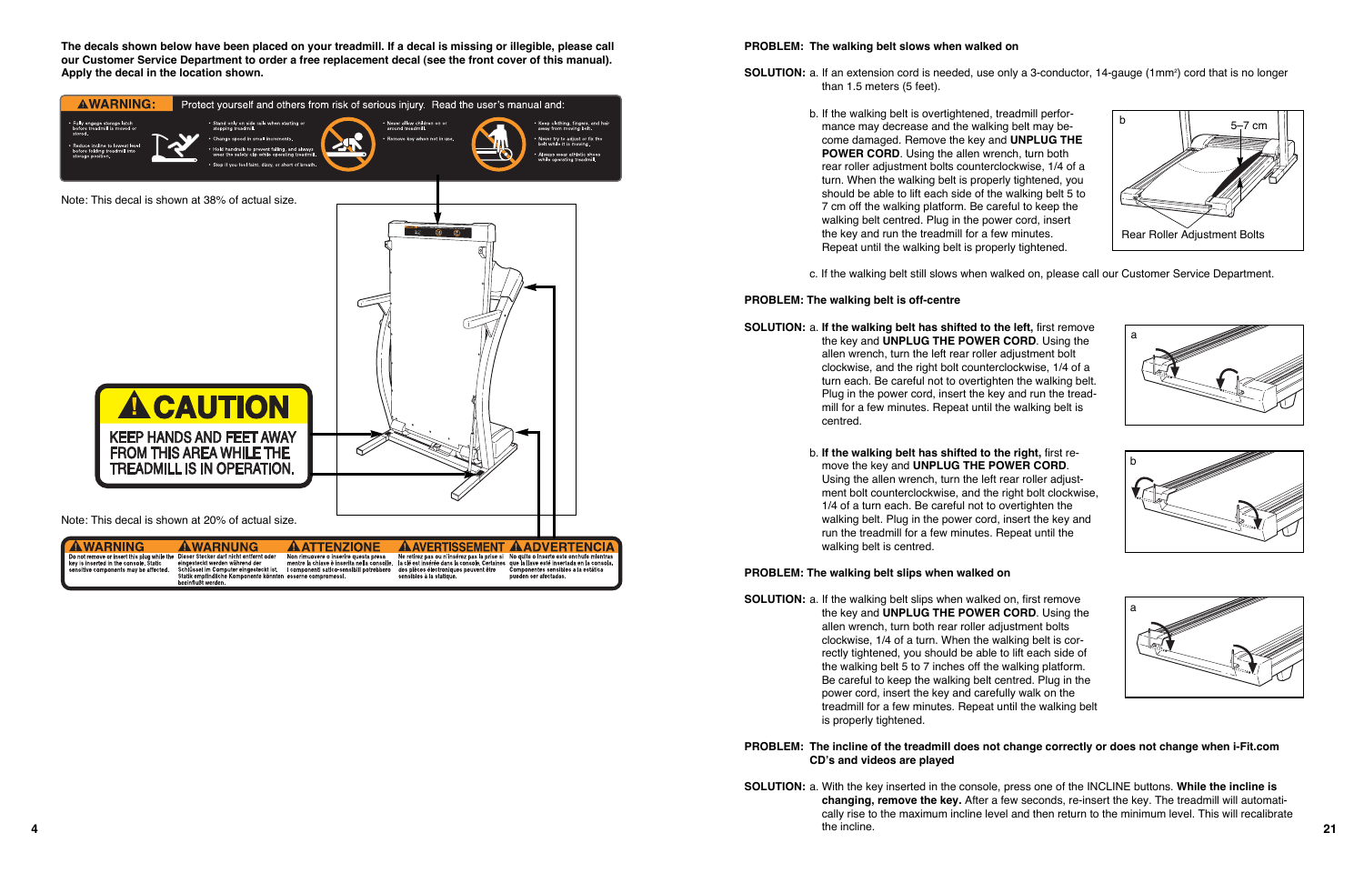#### **PROBLEM: The walking belt slows when walked on**

- than 1.5 meters (5 feet).
	- b. If the walking belt is overtightened, treadmill performance may decrease and the walking belt may become damaged. Remove the key and **UNPLUG THE POWER CORD.** Using the allen wrench, turn both rear roller adjustment bolts counterclockwise, 1/4 of a turn. When the walking belt is properly tightened, you should be able to lift each side of the walking belt 5 to 7 cm off the walking platform. Be careful to keep the walking belt centred. Plug in the power cord, insert the key and run the treadmill for a few minutes. Repeat until the walking belt is properly tightened.
	-

c. If the walking belt still slows when walked on, please call our Customer Service Department.

#### **PROBLEM: The walking belt is off-centre**

**SOLUTION:** a. **If the walking belt has shifted to the left,** first remove the key and **UNPLUG THE POWER CORD**. Using the allen wrench, turn the left rear roller adjustment bolt clockwise, and the right bolt counterclockwise, 1/4 of a turn each. Be careful not to overtighten the walking belt. Plug in the power cord, insert the key and run the treadmill for a few minutes. Repeat until the walking belt is centred.

- **SOLUTION:** a. If the walking belt slips when walked on, first remove the key and **UNPLUG THE POWER CORD**. Using the allen wrench, turn both rear roller adjustment bolts clockwise, 1/4 of a turn. When the walking belt is correctly tightened, you should be able to lift each side of the walking belt 5 to 7 inches off the walking platform. Be careful to keep the walking belt centred. Plug in the power cord, insert the key and carefully walk on the treadmill for a few minutes. Repeat until the walking belt is properly tightened.
- **CD's and videos are played**
- **4 21** the incline.

**SOLUTION:** a. If an extension cord is needed, use only a 3-conductor, 14-gauge (1mm<sup>2</sup>) cord that is no longer

b. **If the walking belt has shifted to the right,** first remove the key and **UNPLUG THE POWER CORD**. Using the allen wrench, turn the left rear roller adjustment bolt counterclockwise, and the right bolt clockwise, 1/4 of a turn each. Be careful not to overtighten the walking belt. Plug in the power cord, insert the key and run the treadmill for a few minutes. Repeat until the walking belt is centred.

#### **PROBLEM: The walking belt slips when walked on**

#### **PROBLEM: The incline of the treadmill does not change correctly or does not change when i-Fit.com**

**SOLUTION:** a. With the key inserted in the console, press one of the INCLINE buttons. **While the incline is changing, remove the key.** After a few seconds, re-insert the key. The treadmill will automatically rise to the maximum incline level and then return to the minimum level. This will recalibrate











**The decals shown below have been placed on your treadmill. If a decal is missing or illegible, please call our Customer Service Department to order a free replacement decal (see the front cover of this manual). Apply the decal in the location shown.**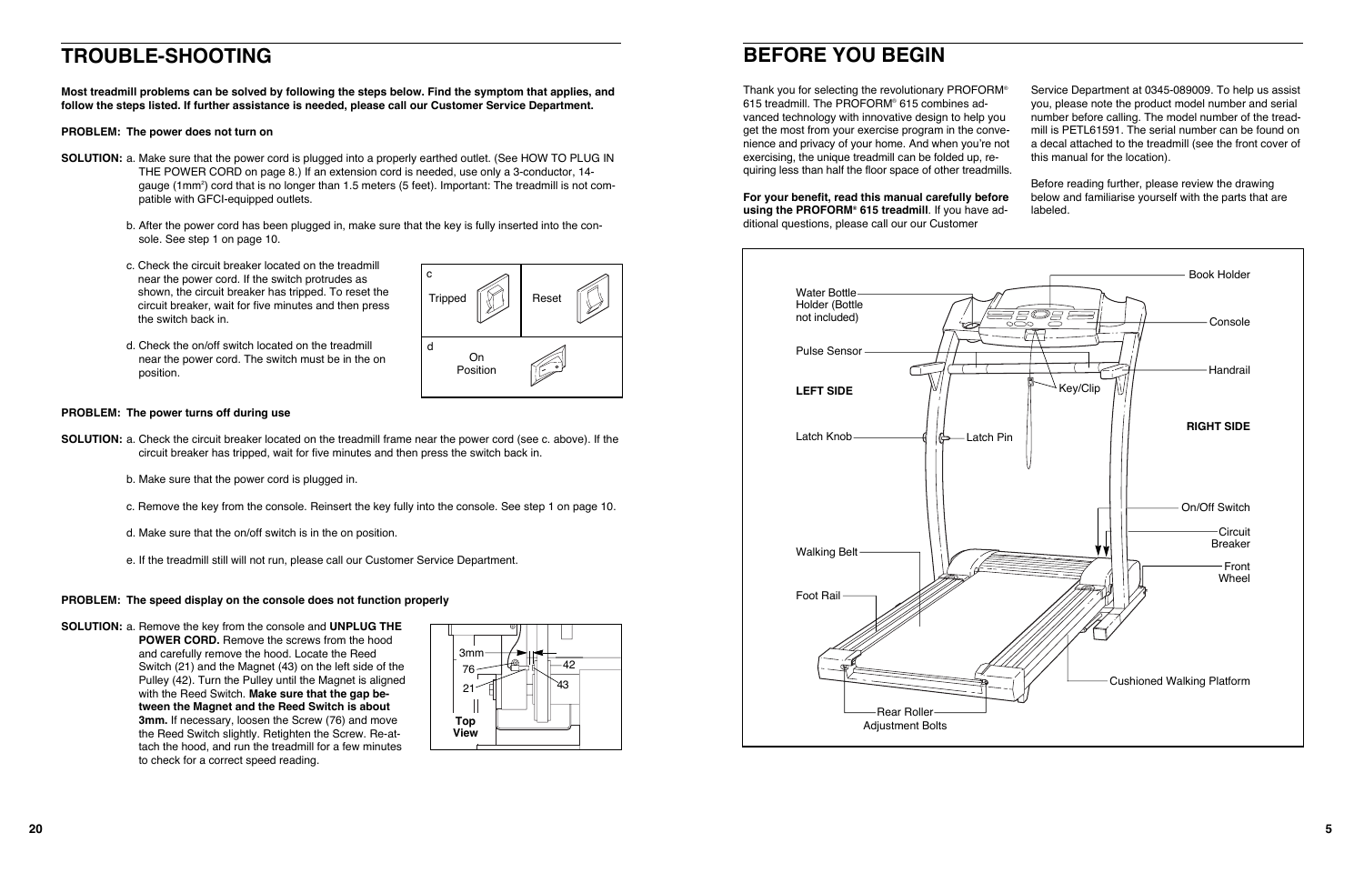Thank you for selecting the revolutionary PROFORM® 615 treadmill. The PROFORM® 615 combines advanced technology with innovative design to help you get the most from your exercise program in the convenience and privacy of your home. And when you're not exercising, the unique treadmill can be folded up, requiring less than half the floor space of other treadmills. Service Department at 0345-089009. To help us assist you, please note the product model number and serial number before calling. The model number of the treadmill is PETL61591. The serial number can be found on a decal attached to the treadmill (see the front cover of this manual for the location).

**For your benefit, read this manual carefully before using the PROFORM® 615 treadmill**. If you have additional questions, please call our our Customer Before reading further, please review the drawing below and familiarise yourself with the parts that are labeled.

## **BEFORE YOU BEGIN**



- **SOLUTION:** a. Make sure that the power cord is plugged into a properly earthed outlet. (See HOW TO PLUG IN THE POWER CORD on page 8.) If an extension cord is needed, use only a 3-conductor, 14 gauge (1mm2) cord that is no longer than 1.5 meters (5 feet). Important: The treadmill is not compatible with GFCI-equipped outlets.
	- b. After the power cord has been plugged in, make sure that the key is fully inserted into the console. See step 1 on page 10.
	- c. Check the circuit breaker located on the treadmill near the power cord. If the switch protrudes as shown, the circuit breaker has tripped. To reset the circuit breaker, wait for five minutes and then press the switch back in.
	- d. Check the on/off switch located on the treadmill near the power cord. The switch must be in the on position.

## **TROUBLE-SHOOTING**

**Most treadmill problems can be solved by following the steps below. Find the symptom that applies, and follow the steps listed. If further assistance is needed, please call our Customer Service Department.**

#### **PROBLEM: The power does not turn on**

#### **PROBLEM: The power turns off during use**

- **SOLUTION:** a. Check the circuit breaker located on the treadmill frame near the power cord (see c. above). If the circuit breaker has tripped, wait for five minutes and then press the switch back in.
	- b. Make sure that the power cord is plugged in.
	- c. Remove the key from the console. Reinsert the key fully into the console. See step 1 on page 10.
	- d. Make sure that the on/off switch is in the on position.
	- e. If the treadmill still will not run, please call our Customer Service Department.

#### **PROBLEM: The speed display on the console does not function properly**

**SOLUTION:** a. Remove the key from the console and **UNPLUG THE POWER CORD.** Remove the screws from the hood and carefully remove the hood. Locate the Reed Switch (21) and the Magnet (43) on the left side of the Pulley (42). Turn the Pulley until the Magnet is aligned with the Reed Switch. **Make sure that the gap between the Magnet and the Reed Switch is about 3mm.** If necessary, loosen the Screw (76) and move the Reed Switch slightly. Retighten the Screw. Re-attach the hood, and run the treadmill for a few minutes to check for a correct speed reading.



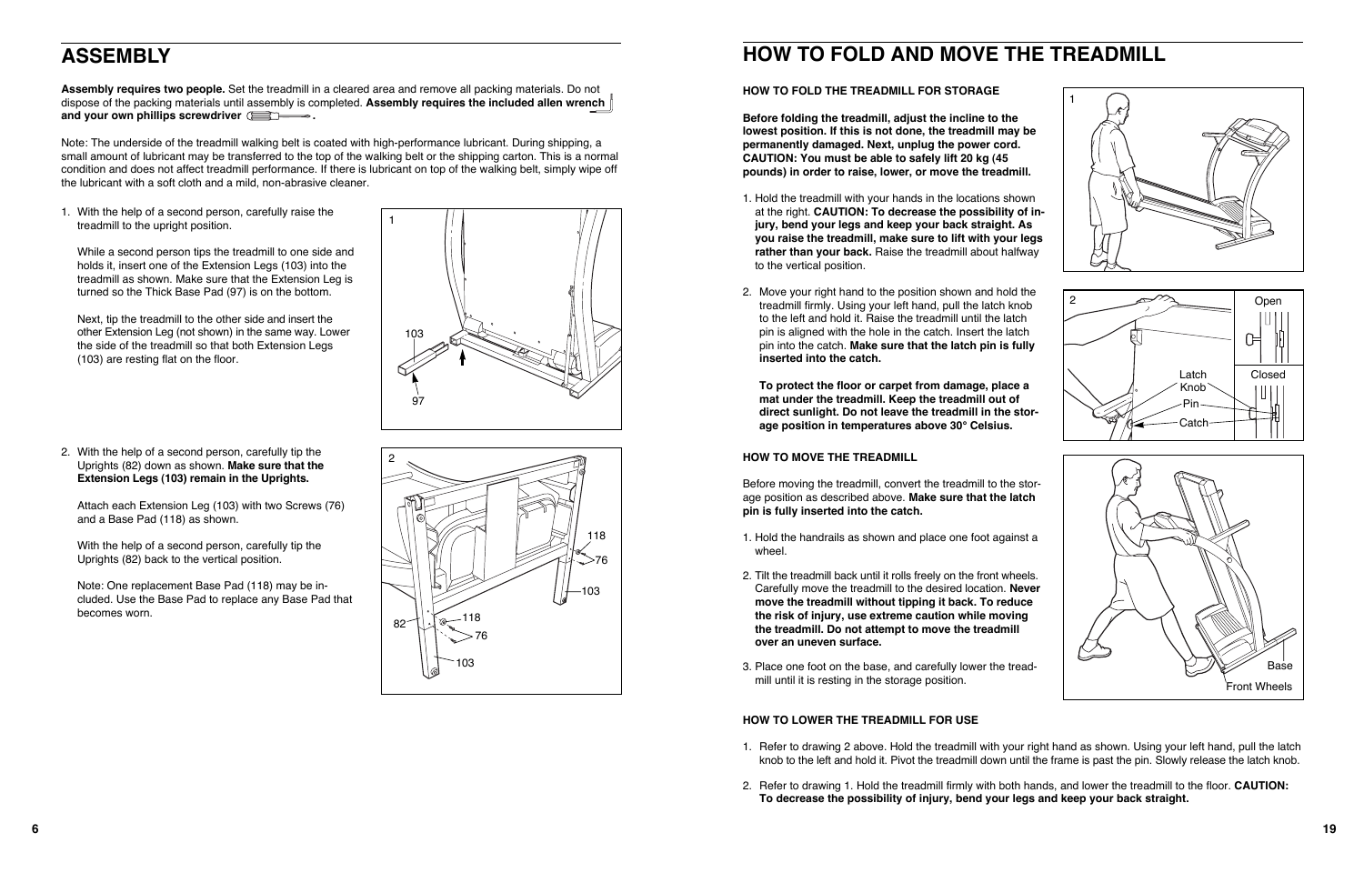**Assembly requires two people.** Set the treadmill in a cleared area and remove all packing materials. Do not dispose of the packing materials until assembly is completed. **Assembly requires the included allen wrench** and your own phillips screwdriver **EX** 

# **ASSEMBLY**

Note: The underside of the treadmill walking belt is coated with high-performance lubricant. During shipping, a small amount of lubricant may be transferred to the top of the walking belt or the shipping carton. This is a normal condition and does not affect treadmill performance. If there is lubricant on top of the walking belt, simply wipe off the lubricant with a soft cloth and a mild, non-abrasive cleaner.

# **HOW TO FOLD AND MOVE THE TREADMILL**

#### **HOW TO FOLD THE TREADMILL FOR STORAGE**

**Before folding the treadmill, adjust the incline to the lowest position. If this is not done, the treadmill may be permanently damaged. Next, unplug the power cord. CAUTION: You must be able to safely lift 20 kg (45 pounds) in order to raise, lower, or move the treadmill.** 

- 1. Hold the treadmill with your hands in the locations shown at the right. **CAUTION: To decrease the possibility of injury, bend your legs and keep your back straight. As you raise the treadmill, make sure to lift with your legs rather than your back.** Raise the treadmill about halfway to the vertical position.
- 2. Move your right hand to the position shown and hold the treadmill firmly. Using your left hand, pull the latch knob to the left and hold it. Raise the treadmill until the latch pin is aligned with the hole in the catch. Insert the latch pin into the catch. **Make sure that the latch pin is fully inserted into the catch.**

**To protect the floor or carpet from damage, place a mat under the treadmill. Keep the treadmill out of direct sunlight. Do not leave the treadmill in the storage position in temperatures above 30° Celsius.**

### **HOW TO MOVE THE TREADMILL**

Before moving the treadmill, convert the treadmill to the storage position as described above. **Make sure that the latch pin is fully inserted into the catch.** 

- 1. Hold the handrails as shown and place one foot against a wheel.
- 2. Tilt the treadmill back until it rolls freely on the front wheels. Carefully move the treadmill to the desired location. **Never move the treadmill without tipping it back. To reduce the risk of injury, use extreme caution while moving the treadmill. Do not attempt to move the treadmill over an uneven surface.**
- 3. Place one foot on the base, and carefully lower the treadmill until it is resting in the storage position.

## **HOW TO LOWER THE TREADMILL FOR USE**

1. Refer to drawing 2 above. Hold the treadmill with your right hand as shown. Using your left hand, pull the latch knob to the left and hold it. Pivot the treadmill down until the frame is past the pin. Slowly release the latch knob.

2. Refer to drawing 1. Hold the treadmill firmly with both hands, and lower the treadmill to the floor. **CAUTION:**

- 
- **To decrease the possibility of injury, bend your legs and keep your back straight.**



1. With the help of a second person, carefully raise the treadmill to the upright position.

While a second person tips the treadmill to one side and holds it, insert one of the Extension Legs (103) into the treadmill as shown. Make sure that the Extension Leg is turned so the Thick Base Pad (97) is on the bottom.

Next, tip the treadmill to the other side and insert the other Extension Leg (not shown) in the same way. Lower the side of the treadmill so that both Extension Legs (103) are resting flat on the floor.



2. With the help of a second person, carefully tip the Uprights (82) down as shown. **Make sure that the Extension Legs (103) remain in the Uprights.** 

Attach each Extension Leg (103) with two Screws (76) and a Base Pad (118) as shown.

With the help of a second person, carefully tip the Uprights (82) back to the vertical position.

Note: One replacement Base Pad (118) may be included. Use the Base Pad to replace any Base Pad that becomes worn.





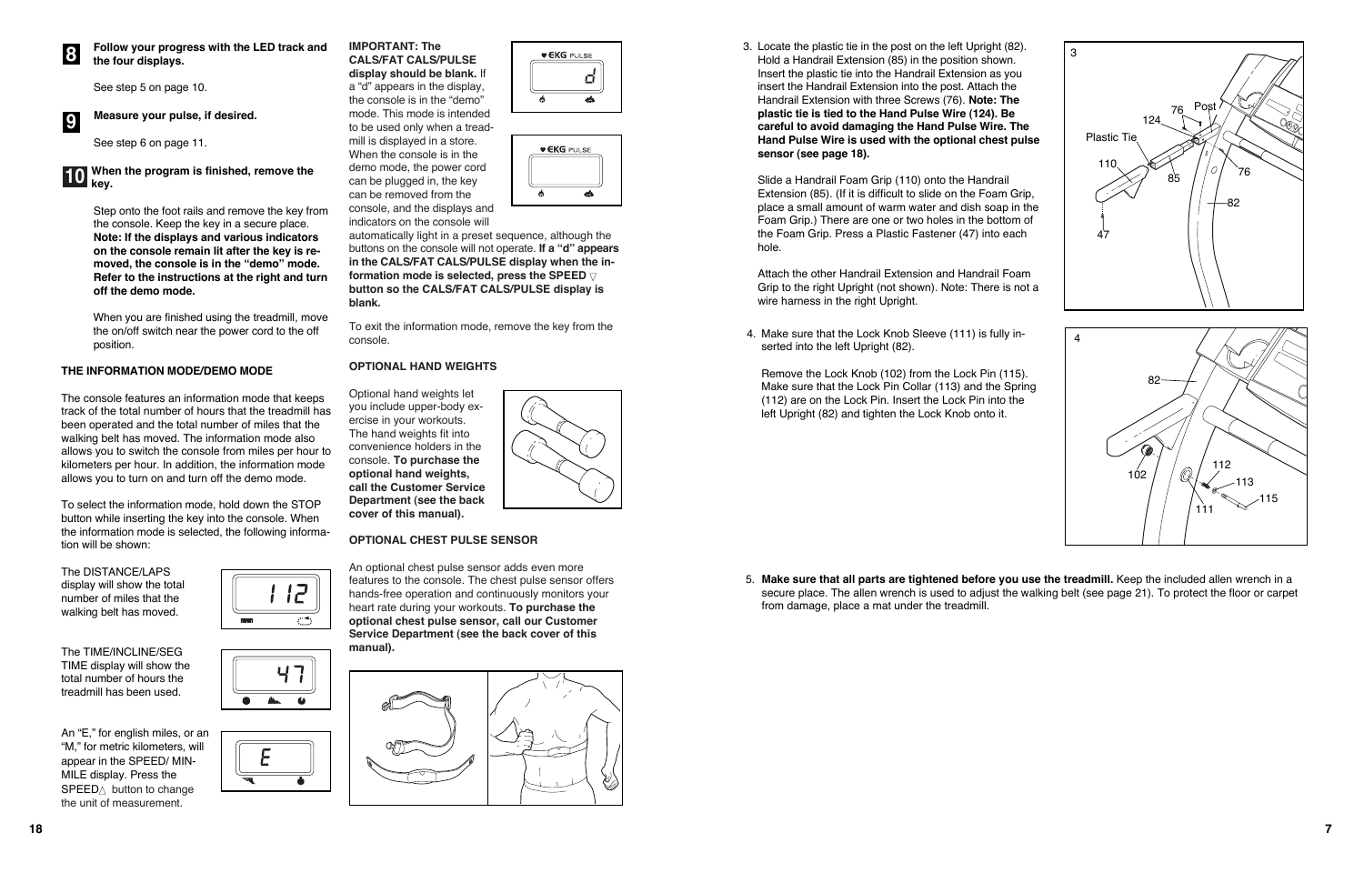5. **Make sure that all parts are tightened before you use the treadmill.** Keep the included allen wrench in a secure place. The allen wrench is used to adjust the walking belt (see page 21). To protect the floor or carpet

from damage, place a mat under the treadmill.









 $\mathbb{A}$ 

 $\bullet$ 

3. Locate the plastic tie in the post on the left Upright (82). Hold a Handrail Extension (85) in the position shown. Insert the plastic tie into the Handrail Extension as you insert the Handrail Extension into the post. Attach the Handrail Extension with three Screws (76). **Note: The plastic tie is tied to the Hand Pulse Wire (124). Be careful to avoid damaging the Hand Pulse Wire. The Hand Pulse Wire is used with the optional chest pulse sensor (see page 18).**

Slide a Handrail Foam Grip (110) onto the Handrail Extension (85). (If it is difficult to slide on the Foam Grip, place a small amount of warm water and dish soap in the Foam Grip.) There are one or two holes in the bottom of the Foam Grip. Press a Plastic Fastener (47) into each hole.



Attach the other Handrail Extension and Handrail Foam Grip to the right Upright (not shown). Note: There is not a wire harness in the right Upright.

4. Make sure that the Lock Knob Sleeve (111) is fully inserted into the left Upright (82).

Remove the Lock Knob (102) from the Lock Pin (115). Make sure that the Lock Pin Collar (113) and the Spring (112) are on the Lock Pin. Insert the Lock Pin into the left Upright (82) and tighten the Lock Knob onto it.

**Follow your progress with the LED track and the four displays.**

See step 5 on page 10.

#### **Measure your pulse, if desired.**

See step 6 on page 11.

Step onto the foot rails and remove the key from the console. Keep the key in a secure place. **Note: If the displays and various indicators on the console remain lit after the key is removed, the console is in the "demo" mode. Refer to the instructions at the right and turn off the demo mode.**

When you are finished using the treadmill, move the on/off switch near the power cord to the off position.

### **THE INFORMATION MODE/DEMO MODE**

The console features an information mode that keeps track of the total number of hours that the treadmill has been operated and the total number of miles that the walking belt has moved. The information mode also allows you to switch the console from miles per hour to kilometers per hour. In addition, the information mode allows you to turn on and turn off the demo mode.

To select the information mode, hold down the STOP button while inserting the key into the console. When the information mode is selected, the following information will be shown:

The DISTANCE/LAPS display will show the total number of miles that the walking belt has moved.

The TIME/INCLINE/SEG TIME display will show the total number of hours the treadmill has been used.

An "E," for english miles, or an "M," for metric kilometers, will appear in the SPEED/ MIN-MILE display. Press the  $SPEED\triangle$  button to change the unit of measurement.

#### **When the program is finished, remove the key. 10**

#### **IMPORTANT: The CALS/FAT CALS/PULSE display should be blank.** If <sup>a</sup>"d" appears in the display, the console is in the "demo" mode. This mode is intended to be used only when a treadmill is displayed in a store.

When the console is in the demo mode, the power cord can be plugged in, the key can be removed from the console, and the displays and





indicators on the console will automatically light in a preset sequence, although the buttons on the console will not operate. **If a "d" appears in the CALS/FAT CALS/PULSE display when the in**formation mode is selected, press the SPEED  $∇$ **button so the CALS/FAT CALS/PULSE display is blank.** 

To exit the information mode, remove the key from the console.

## **OPTIONAL HAND WEIGHTS**

Optional hand weights let you include upper-body exercise in your workouts. The hand weights fit into convenience holders in the console. **To purchase the optional hand weights, call the Customer Service Department (see the back cover of this manual).**

### **OPTIONAL CHEST PULSE SENSOR**

An optional chest pulse sensor adds even more features to the console. The chest pulse sensor offers hands-free operation and continuously monitors your heart rate during your workouts. **To purchase the optional chest pulse sensor, call our Customer Service Department (see the back cover of this manual).**



**9**

**8**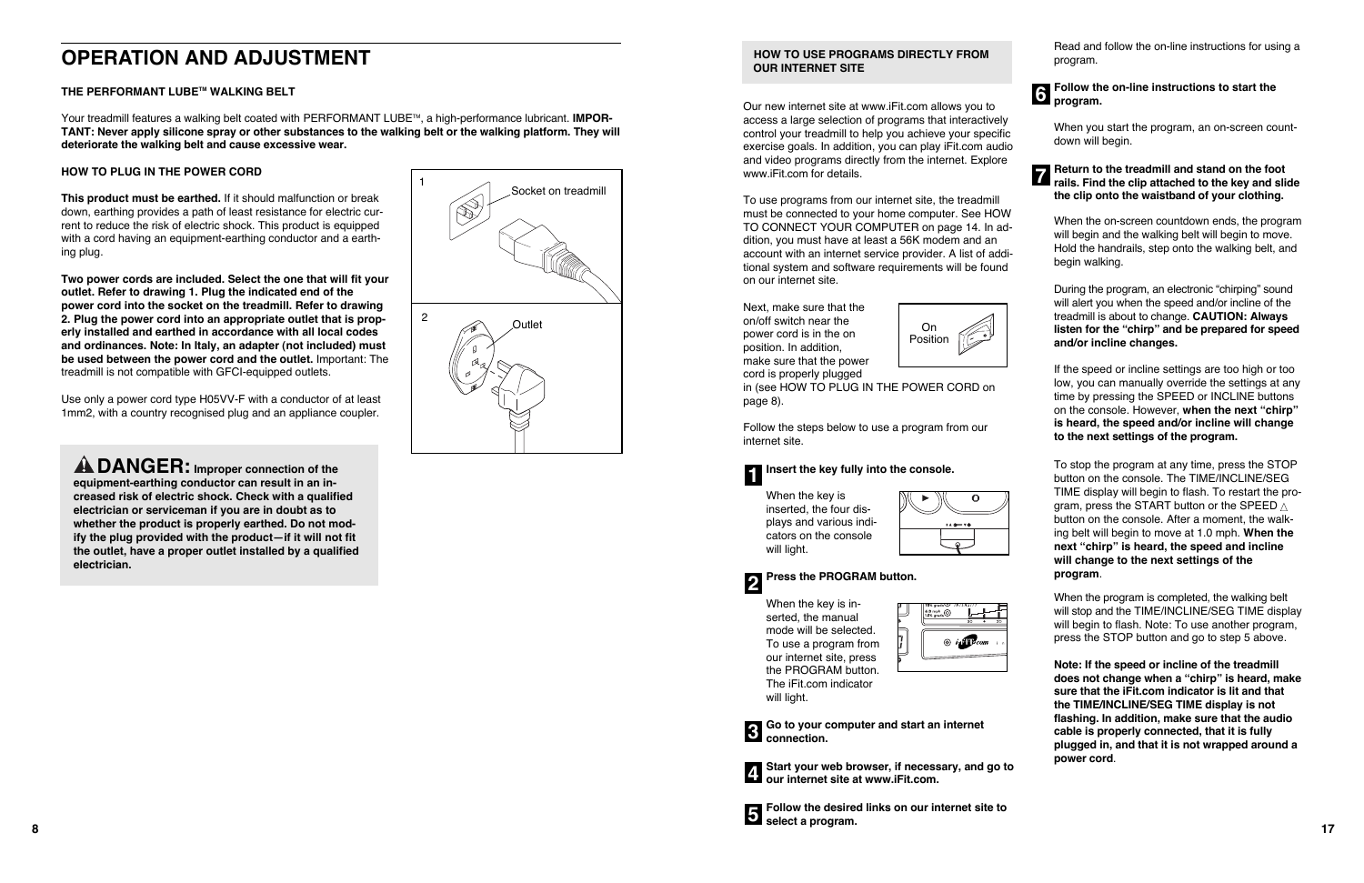#### **HOW TO USE PROGRAMS DIRECTLY FROM OUR INTERNET SITE**

Our new internet site at www.iFit.com allows you to access a large selection of programs that interactively control your treadmill to help you achieve your specific exercise goals. In addition, you can play iFit.com audio and video programs directly from the internet. Explore www.iFit.com for details.

To use programs from our internet site, the treadmill must be connected to your home computer. See HOW TO CONNECT YOUR COMPUTER on page 14. In addition, you must have at least a 56K modem and an account with an internet service provider. A list of additional system and software requirements will be found on our internet site.

When the key is inserted, the manual mode will be selected. To use a program from our internet site, press the PROGRAM button. The iFit.com indicator will light.

|   | 10% grade≌ 7#7£#3771<br>$\frac{6.0 \text{ mph}}{1.5\% \text{ grade}}$<br>30 | 20 |
|---|-----------------------------------------------------------------------------|----|
| 1 | $\circledcirc$ in $\mathbf{F}$ com $\cdot$                                  |    |
|   |                                                                             |    |

**Go to your computer and start an internet 3** connection.



**Start your web browser, if necessary, and go to 4** Start your web browser, if necess<br>**4** our internet site at www.iFit.com.

**8 17 Follow the desired links on our internet site to 5** select a program.







Next, make sure that the on/off switch near the power cord is in the on position. In addition, make sure that the power cord is properly plugged

## **Follow the on-line instructions to start the 6** program.

in (see HOW TO PLUG IN THE POWER CORD on page 8).

Follow the steps below to use a program from our internet site.

When the key is inserted, the four displays and various indicators on the console will light.

| $140 - 70$ |
|------------|
|            |

Read and follow the on-line instructions for using a program.

When you start the program, an on-screen countdown will begin.

#### **Return to the treadmill and stand on the foot rails.** Find the clip attached to the key and slide **the clip onto the waistband of your clothing.**

Your treadmill features a walking belt coated with PERFORMANT LUBE<sup>TM</sup>, a high-performance lubricant. **IMPOR-TANT: Never apply silicone spray or other substances to the walking belt or the walking platform. They will deteriorate the walking belt and cause excessive wear.**

> When the on-screen countdown ends, the program will begin and the walking belt will begin to move. Hold the handrails, step onto the walking belt, and begin walking.

During the program, an electronic "chirping" sound will alert you when the speed and/or incline of the treadmill is about to change. **CAUTION: Always listen for the "chirp" and be prepared for speed and/or incline changes.** 

## **Insert the key fully into the console. 1**

#### **Press the PROGRAM button. 2**

If the speed or incline settings are too high or too low, you can manually override the settings at any time by pressing the SPEED or INCLINE buttons on the console. However, **when the next "chirp" is heard, the speed and/or incline will change to the next settings of the program.**

To stop the program at any time, press the STOP button on the console. The TIME/INCLINE/SEG TIME display will begin to flash. To restart the program, press the START button or the SPEED  $\vartriangle$ button on the console. After a moment, the walking belt will begin to move at 1.0 mph. **When the next "chirp" is heard, the speed and incline will change to the next settings of the program**.

When the program is completed, the walking belt will stop and the TIME/INCLINE/SEG TIME display will begin to flash. Note: To use another program, press the STOP button and go to step 5 above.

**Note: If the speed or incline of the treadmill does not change when a "chirp" is heard, make sure that the iFit.com indicator is lit and that the TIME/INCLINE/SEG TIME display is not flashing. In addition, make sure that the audio cable is properly connected, that it is fully plugged in, and that it is not wrapped around a power cord**.



#### **THE PERFORMANT LUBETM WALKING BELT**

#### **HOW TO PLUG IN THE POWER CORD**

**This product must be earthed.** If it should malfunction or break down, earthing provides a path of least resistance for electric current to reduce the risk of electric shock. This product is equipped with a cord having an equipment-earthing conductor and a earthing plug.

**Two power cords are included. Select the one that will fit your outlet. Refer to drawing 1. Plug the indicated end of the power cord into the socket on the treadmill. Refer to drawing 2. Plug the power cord into an appropriate outlet that is properly installed and earthed in accordance with all local codes and ordinances. Note: In Italy, an adapter (not included) must be used between the power cord and the outlet.** Important: The treadmill is not compatible with GFCI-equipped outlets.

Use only a power cord type H05VV-F with a conductor of at least 1mm2, with a country recognised plug and an appliance coupler.

**DANGER: Improper connection of the equipment-earthing conductor can result in an increased risk of electric shock. Check with a qualified electrician or serviceman if you are in doubt as to whether the product is properly earthed. Do not modify the plug provided with the product—if it will not fit the outlet, have a proper outlet installed by a qualified electrician.**

# **OPERATION AND ADJUSTMENT**

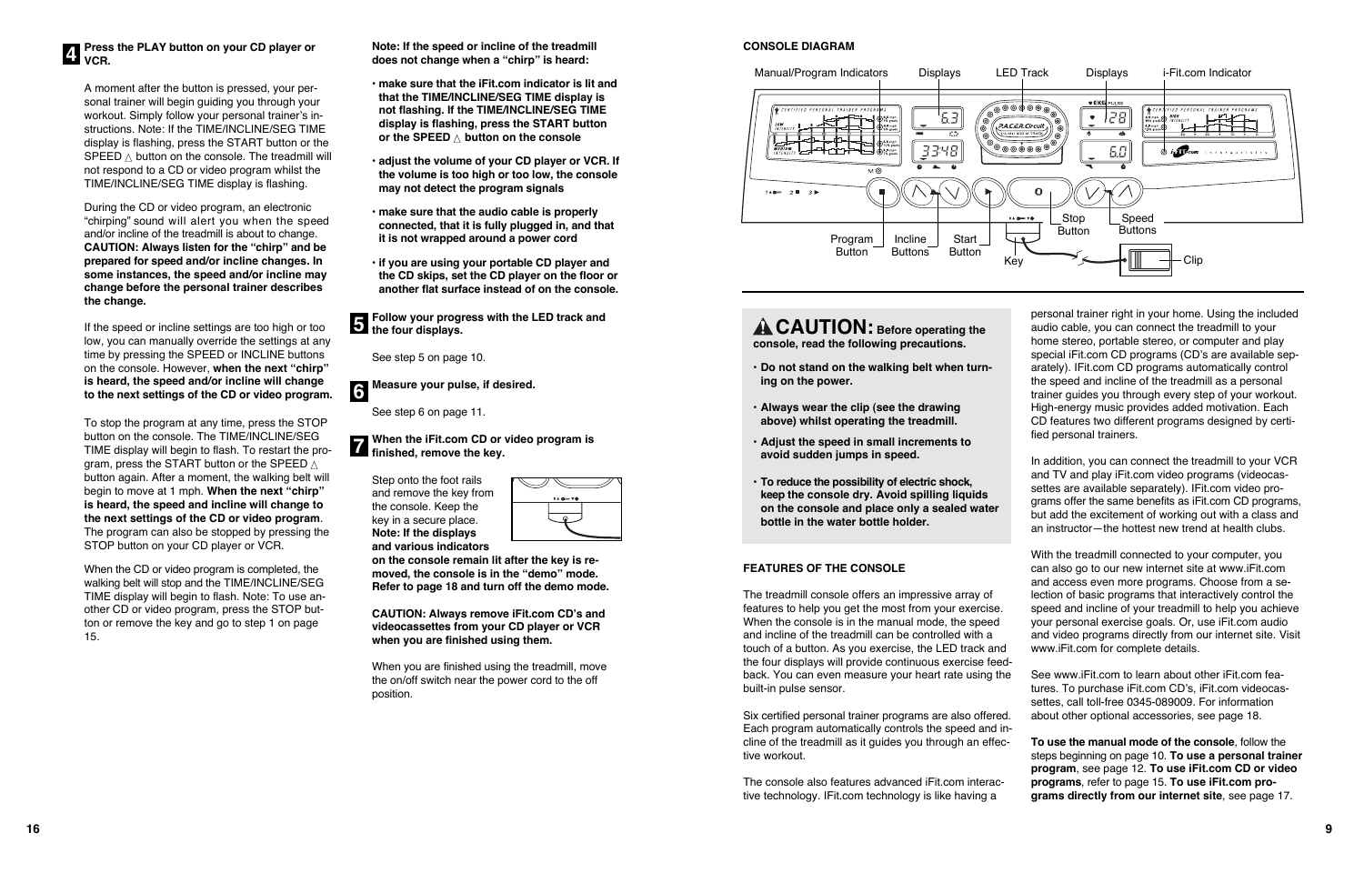#### **FEATURES OF THE CONSOLE**

The treadmill console offers an impressive array of features to help you get the most from your exercise. When the console is in the manual mode, the speed and incline of the treadmill can be controlled with a touch of a button. As you exercise, the LED track and the four displays will provide continuous exercise feedback. You can even measure your heart rate using the built-in pulse sensor.

Six certified personal trainer programs are also offered. Each program automatically controls the speed and incline of the treadmill as it guides you through an effective workout.

The console also features advanced iFit.com interactive technology. IFit.com technology is like having a

personal trainer right in your home. Using the included audio cable, you can connect the treadmill to your home stereo, portable stereo, or computer and play special iFit.com CD programs (CD's are available separately). IFit.com CD programs automatically control the speed and incline of the treadmill as a personal trainer guides you through every step of your workout. High-energy music provides added motivation. Each CD features two different programs designed by certified personal trainers.

In addition, you can connect the treadmill to your VCR and TV and play iFit.com video programs (videocassettes are available separately). IFit.com video programs offer the same benefits as iFit.com CD programs, but add the excitement of working out with a class and an instructor—the hottest new trend at health clubs.

With the treadmill connected to your computer, you can also go to our new internet site at www.iFit.com and access even more programs. Choose from a selection of basic programs that interactively control the speed and incline of your treadmill to help you achieve your personal exercise goals. Or, use iFit.com audio and video programs directly from our internet site. Visit www.iFit.com for complete details.

- 
- 
- See www.iFit.com to learn about other iFit.com features. To purchase iFit.com CD's, iFit.com videocassettes, call toll-free 0345-089009. For information about other optional accessories, see page 18.
- 

**To use the manual mode of the console**, follow the steps beginning on page 10. **To use a personal trainer program**, see page 12. **To use iFit.com CD or video programs**, refer to page 15. **To use iFit.com programs directly from our internet site**, see page 17.

**CAUTION: Before operating the console, read the following precautions.**

- **• Do not stand on the walking belt when turning on the power.**
- **• Always wear the clip (see the drawing above) whilst operating the treadmill.**
- **• Adjust the speed in small increments to avoid sudden jumps in speed.**
- **• To reduce the possibility of electric shock, keep the console dry. Avoid spilling liquids on the console and place only a sealed water bottle in the water bottle holder.**

**When the iFit.com CD or video program is finished, remove the key.**<br>**7** finished, remove the key.

#### **CONSOLE DIAGRAM**



# **Press the PLAY button on your CD player or**

A moment after the button is pressed, your personal trainer will begin guiding you through your workout. Simply follow your personal trainer's instructions. Note: If the TIME/INCLINE/SEG TIME display is flashing, press the START button or the <code>SPEED</code>  $\land$  button on the console. The treadmill will not respond to a CD or video program whilst the TIME/INCLINE/SEG TIME display is flashing.

During the CD or video program, an electronic "chirping" sound will alert you when the speed and/or incline of the treadmill is about to change. **CAUTION: Always listen for the "chirp" and be prepared for speed and/or incline changes. In some instances, the speed and/or incline may change before the personal trainer describes the change.** 

If the speed or incline settings are too high or too low, you can manually override the settings at any time by pressing the SPEED or INCLINE buttons on the console. However, **when the next "chirp" is heard, the speed and/or incline will change to the next settings of the CD or video program.**

To stop the program at any time, press the STOP button on the console. The TIME/INCLINE/SEG TIME display will begin to flash. To restart the program, press the START button or the SPEED  $\vartriangle$ button again. After a moment, the walking belt will begin to move at 1 mph. **When the next "chirp" is heard, the speed and incline will change to the next settings of the CD or video program**. The program can also be stopped by pressing the STOP button on your CD player or VCR.



When the CD or video program is completed, the walking belt will stop and the TIME/INCLINE/SEG TIME display will begin to flash. Note: To use another CD or video program, press the STOP button or remove the key and go to step 1 on page 15.

**Note: If the speed or incline of the treadmill does not change when a "chirp" is heard:**

- **make sure that the iFit.com indicator is lit and that the TIME/INCLINE/SEG TIME display is not flashing. If the TIME/INCLINE/SEG TIME display is flashing, press the START button or the SPEED**  ▲ **button on the console**
- **adjust the volume of your CD player or VCR. If the volume is too high or too low, the console may not detect the program signals**
- **make sure that the audio cable is properly connected, that it is fully plugged in, and that it is not wrapped around a power cord**
- **if you are using your portable CD player and the CD skips, set the CD player on the floor or another flat surface instead of on the console.**

See step 5 on page 10.

See step 6 on page 11.

Step onto the foot rails and remove the key from the console. Keep the key in a secure place. **Note: If the displays and various indicators**

**Follow your progress with the LED track and the four displays. 5**

**Measure your pulse, if desired. 6**

> **on the console remain lit after the key is removed, the console is in the "demo" mode. Refer to page 18 and turn off the demo mode.**

 $140 - 70$ 

**CAUTION: Always remove iFit.com CD's and videocassettes from your CD player or VCR when you are finished using them.**

When you are finished using the treadmill, move the on/off switch near the power cord to the off position.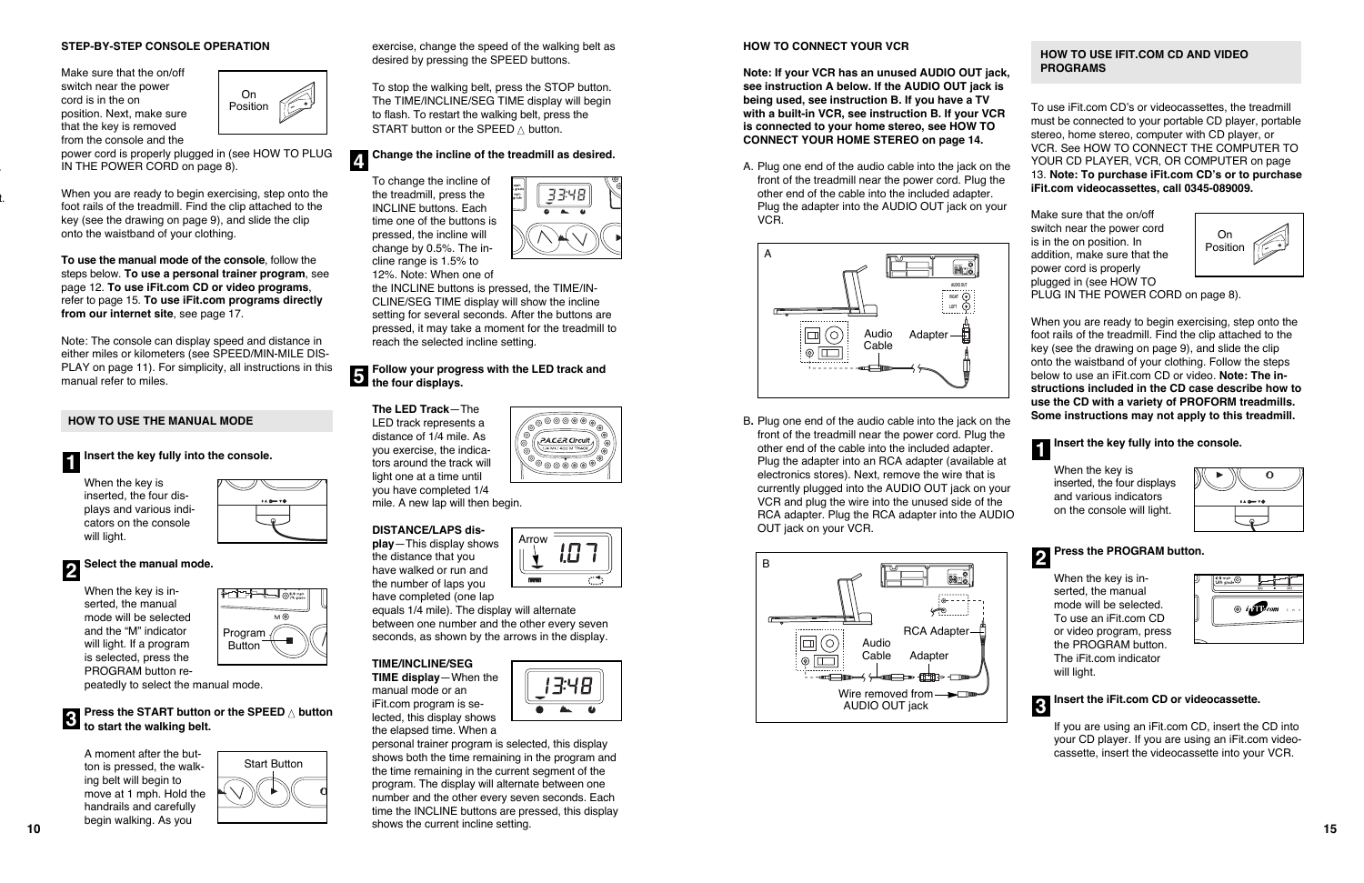#### **STEP-BY-STEP CONSOLE OPERATION**

Make sure that the on/off switch near the power cord is in the on position. Next, make sure that the key is removed from the console and the

power cord is properly plugged in (see HOW TO PLUG IN THE POWER CORD on page 8).

When you are ready to begin exercising, step onto the foot rails of the treadmill. Find the clip attached to the key (see the drawing on page 9), and slide the clip onto the waistband of your clothing.

**To use the manual mode of the console**, follow the steps below. **To use a personal trainer program**, see page 12. **To use iFit.com CD or video programs**, refer to page 15. **To use iFit.com programs directly from our internet site**, see page 17.

#### **Press the START button or the SPEED**  ▲ **button 1 t**o start the walking belt.

To stop the walking belt, press the STOP button. The TIME/INCLINE/SEG TIME display will begin to flash. To restart the walking belt, press the <code>START</code> button or the <code>SPEED</code>  $\vartriangle$  button.

Note: The console can display speed and distance in either miles or kilometers (see SPEED/MIN-MILE DIS-PLAY on page 11). For simplicity, all instructions in this manual refer to miles.

#### **HOW TO USE THE MANUAL MODE**

#### **Insert the key fully into the console.**

When the key is inserted, the four displays and various indicators on the console will light.



#### **Follow your progress with the LED track and f** the four displays.

When the key is inserted, the manual mode will be selected and the "M" indicator will light. If a program is selected, press the PROGRAM button re-

peatedly to select the manual mode.

A moment after the button is pressed, the walking belt will begin to move at 1 mph. Hold the handrails and carefully begin walking. As you

exercise, change the speed of the walking belt as desired by pressing the SPEED buttons.



To change the incline of the treadmill, press the INCLINE buttons. Each time one of the buttons is pressed, the incline will change by 0.5%. The incline range is 1.5% to 12%. Note: When one of

the INCLINE buttons is pressed, the TIME/IN-CLINE/SEG TIME display will show the incline setting for several seconds. After the buttons are pressed, it may take a moment for the treadmill to reach the selected incline setting.

#### **Select the manual mode. 2**

**The LED Track**—The LED track represents a distance of 1/4 mile. As you exercise, the indicators around the track will light one at a time until you have completed 1/4 mile. A new lap will then begin.

#### **Change the incline of the treadmill as desired. 4**

#### **DISTANCE/LAPS dis-**

**play**—This display shows the distance that you have walked or run and the number of laps you have completed (one lap

When the key is inserted, the manual mode will be selected. To use an iFit.com CD or video program, press the PROGRAM button. The iFit.com indicator will light.



equals 1/4 mile). The display will alternate between one number and the other every seven seconds, as shown by the arrows in the display.

#### **TIME/INCLINE/SEG**

**TIME display**—When the manual mode or an iFit.com program is selected, this display shows the elapsed time. When a



**r** 





'3:48

@©©©® .<br>P.A.C.E.R.Circuit

 $\overset{\circ}{\circ} \circ \overset{\bullet}{\circ} \circ \overset{\bullet}{\circ} \circ \overset{\bullet}{\circ}$ 

#### **HOW TO CONNECT YOUR VCR**

**Note: If your VCR has an unused AUDIO OUT jack, see instruction A below. If the AUDIO OUT jack is being used, see instruction B. If you have a TV with a built-in VCR, see instruction B. If your VCR is connected to your home stereo, see HOW TO CONNECT YOUR HOME STEREO on page 14.**

A. Plug one end of the audio cable into the jack on the front of the treadmill near the power cord. Plug the other end of the cable into the included adapter. Plug the adapter into the AUDIO OUT jack on your VCR.

B**.** Plug one end of the audio cable into the jack on the front of the treadmill near the power cord. Plug the other end of the cable into the included adapter. Plug the adapter into an RCA adapter (available at electronics stores). Next, remove the wire that is currently plugged into the AUDIO OUT jack on your VCR and plug the wire into the unused side of the RCA adapter. Plug the RCA adapter into the AUDIO OUT jack on your VCR.

## **HOW TO USE IFIT.COM CD AND VIDEO PROGRAMS**

To use iFit.com CD's or videocassettes, the treadmill must be connected to your portable CD player, portable stereo, home stereo, computer with CD player, or VCR. See HOW TO CONNECT THE COMPUTER TO YOUR CD PLAYER, VCR, OR COMPUTER on page 13. **Note: To purchase iFit.com CD's or to purchase iFit.com videocassettes, call 0345-089009.**

Make sure that the on/off switch near the power cord is in the on position. In addition, make sure that the power cord is properly plugged in (see HOW TO PLUG IN THE POWER CORD on page 8).

When you are ready to begin exercising, step onto the foot rails of the treadmill. Find the clip attached to the key (see the drawing on page 9), and slide the clip onto the waistband of your clothing. Follow the steps below to use an iFit.com CD or video. **Note: The instructions included in the CD case describe how to use the CD with a variety of PROFORM treadmills. Some instructions may not apply to this treadmill.**

When the key is inserted, the four displays and various indicators on the console will light.



## **Insert the key fully into the console. 1**

#### **Press the PROGRAM button. 2**

### **Insert the iFit.com CD or videocassette.**

If you are using an iFit.com CD, insert the CD into your CD player. If you are using an iFit.com videocassette, insert the videocassette into your VCR.









t.



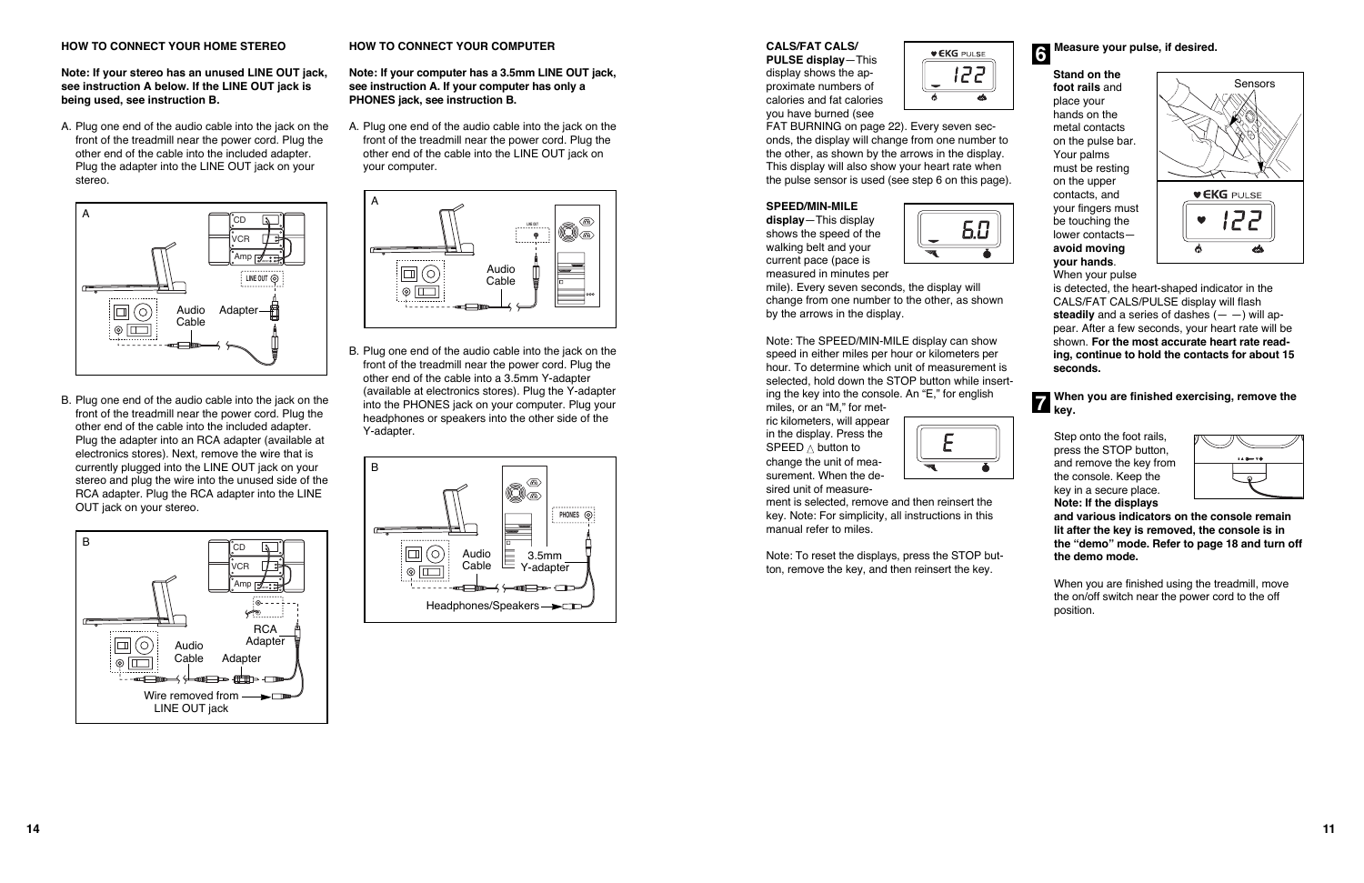#### **CALS/FAT CALS/**

**PULSE display**—This display shows the approximate numbers of calories and fat calories you have burned (see



FAT BURNING on page 22). Every seven seconds, the display will change from one number to the other, as shown by the arrows in the display. This display will also show your heart rate when the pulse sensor is used (see step 6 on this page).

#### **SPEED/MIN-MILE**

**display**—This display shows the speed of the walking belt and your current pace (pace is measured in minutes per



mile). Every seven seconds, the display will change from one number to the other, as shown by the arrows in the display.

Note: The SPEED/MIN-MILE display can show speed in either miles per hour or kilometers per hour. To determine which unit of measurement is selected, hold down the STOP button while inserting the key into the console. An "E," for english

#### **When you are finished exercising, remove the 7 key.**

miles, or an "M," for metric kilometers, will appear in the display. Press the SPEED  $\triangle$  button to change the unit of measurement. When the desired unit of measure-



ment is selected, remove and then reinsert the key. Note: For simplicity, all instructions in this manual refer to miles.

Note: To reset the displays, press the STOP button, remove the key, and then reinsert the key.

**Stand on the foot rails** and place your hands on the metal contacts on the pulse bar. Your palms must be resting on the upper contacts, and your fingers must be touching the lower contacts **avoid moving your hands**. When your pulse

is detected, the heart-shaped indicator in the CALS/FAT CALS/PULSE display will flash **steadily** and a series of dashes  $(- -)$  will appear. After a few seconds, your heart rate will be shown. **For the most accurate heart rate reading, continue to hold the contacts for about 15 seconds.**

#### **Measure your pulse, if desired. 6**





Step onto the foot rails, press the STOP button, and remove the key from the console. Keep the key in a secure place. **Note: If the displays**

| $140 - 70$ |
|------------|
|            |

**and various indicators on the console remain lit after the key is removed, the console is in the "demo" mode. Refer to page 18 and turn off the demo mode.**

When you are finished using the treadmill, move the on/off switch near the power cord to the off position.



#### **HOW TO CONNECT YOUR HOME STEREO**

**Note: If your stereo has an unused LINE OUT jack, see instruction A below. If the LINE OUT jack is being used, see instruction B.**

A. Plug one end of the audio cable into the jack on the front of the treadmill near the power cord. Plug the other end of the cable into the included adapter. Plug the adapter into the LINE OUT jack on your stereo.

B. Plug one end of the audio cable into the jack on the front of the treadmill near the power cord. Plug the other end of the cable into the included adapter. Plug the adapter into an RCA adapter (available at electronics stores). Next, remove the wire that is currently plugged into the LINE OUT jack on your stereo and plug the wire into the unused side of the RCA adapter. Plug the RCA adapter into the LINE OUT jack on your stereo.

#### **HOW TO CONNECT YOUR COMPUTER**

**Note: If your computer has a 3.5mm LINE OUT jack, see instruction A. If your computer has only a PHONES jack, see instruction B.**

A. Plug one end of the audio cable into the jack on the front of the treadmill near the power cord. Plug the other end of the cable into the LINE OUT jack on your computer.

B. Plug one end of the audio cable into the jack on the front of the treadmill near the power cord. Plug the other end of the cable into a 3.5mm Y-adapter (available at electronics stores). Plug the Y-adapter into the PHONES jack on your computer. Plug your headphones or speakers into the other side of the Y-adapter.







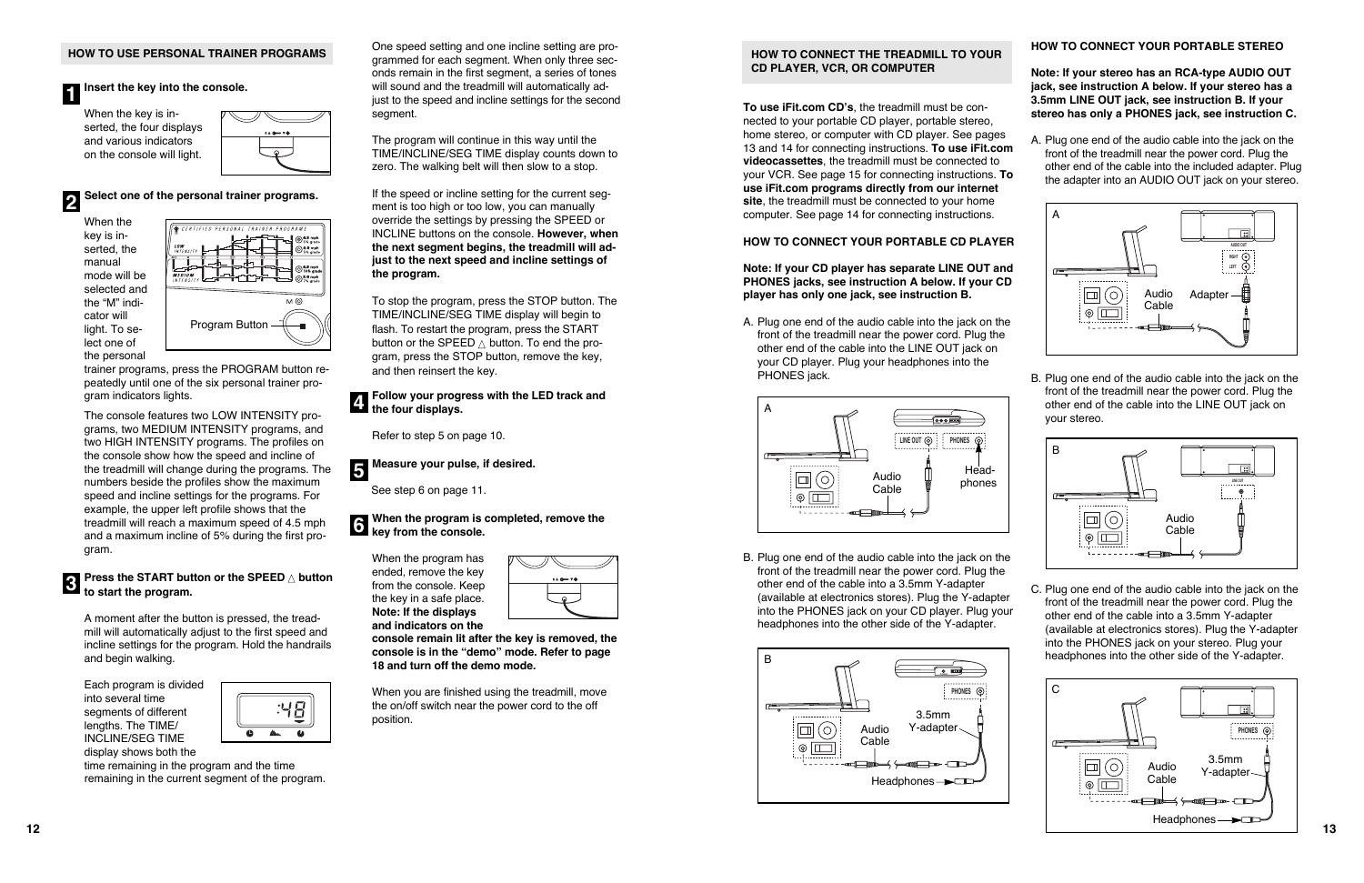#### **HOW TO CONNECT THE TREADMILL TO YOUR CD PLAYER, VCR, OR COMPUTER**

**To use iFit.com CD's**, the treadmill must be connected to your portable CD player, portable stereo, home stereo, or computer with CD player. See pages 13 and 14 for connecting instructions. **To use iFit.com videocassettes**, the treadmill must be connected to your VCR. See page 15 for connecting instructions. **To use iFit.com programs directly from our internet** site, the treadmill must be connected to your home computer. See page 14 for connecting instructions.

#### **HOW TO CONNECT YOUR PORTABLE CD PLAYER**

**Note: If your CD player has separate LINE OUT and PHONES jacks, see instruction A below. If your CD player has only one jack, see instruction B.**

A. Plug one end of the audio cable into the jack on the front of the treadmill near the power cord. Plug the other end of the cable into the LINE OUT jack on your CD player. Plug your headphones into the PHONES jack.

B. Plug one end of the audio cable into the jack on the front of the treadmill near the power cord. Plug the other end of the cable into a 3.5mm Y-adapter (available at electronics stores). Plug the Y-adapter into the PHONES jack on your CD player. Plug your headphones into the other side of the Y-adapter.



## **HOW TO CONNECT YOUR PORTABLE STEREO**

**Note: If your stereo has an RCA-type AUDIO OUT jack, see instruction A below. If your stereo has a 3.5mm LINE OUT jack, see instruction B. If your stereo has only a PHONES jack, see instruction C.**

A. Plug one end of the audio cable into the jack on the front of the treadmill near the power cord. Plug the other end of the cable into the included adapter. Plug the adapter into an AUDIO OUT jack on your stereo.

#### **Press the START button or the SPEED**  ▲ **button 1 t**o start the program.

B. Plug one end of the audio cable into the jack on the front of the treadmill near the power cord. Plug the other end of the cable into the LINE OUT jack on your stereo.

- 
- C. Plug one end of the audio cable into the jack on the front of the treadmill near the power cord. Plug the other end of the cable into a 3.5mm Y-adapter (available at electronics stores). Plug the Y-adapter into the PHONES jack on your stereo. Plug your headphones into the other side of the Y-adapter.







#### **Follow your progress with the LED track and 4** Follow your progential the four displays.



#### **HOW TO USE PERSONAL TRAINER PROGRAMS**

#### **When the program is completed, remove the h** when the program is

When the key is inserted, the four displays and various indicators on the console will light.



#### **Select one of the personal trainer programs.**

When the key is inserted, the manual mode will be selected and the "M" indicator will light. To select one of the personal

trainer programs, press the PROGRAM button repeatedly until one of the six personal trainer program indicators lights.

The console features two LOW INTENSITY programs, two MEDIUM INTENSITY programs, and two HIGH INTENSITY programs. The profiles on the console show how the speed and incline of the treadmill will change during the programs. The numbers beside the profiles show the maximum speed and incline settings for the programs. For example, the upper left profile shows that the treadmill will reach a maximum speed of 4.5 mph and a maximum incline of 5% during the first program.

A moment after the button is pressed, the treadmill will automatically adjust to the first speed and incline settings for the program. Hold the handrails and begin walking.

Each program is divided into several time segments of different lengths. The TIME/ INCLINE/SEG TIME display shows both the



time remaining in the program and the time remaining in the current segment of the program.

**Insert the key into the console. 1**

One speed setting and one incline setting are programmed for each segment. When only three seconds remain in the first segment, a series of tones will sound and the treadmill will automatically adjust to the speed and incline settings for the second segment.

The program will continue in this way until the TIME/INCLINE/SEG TIME display counts down to zero. The walking belt will then slow to a stop.

If the speed or incline setting for the current segment is too high or too low, you can manually override the settings by pressing the SPEED or INCLINE buttons on the console. **However, when the next segment begins, the treadmill will adjust to the next speed and incline settings of the program.**

To stop the program, press the STOP button. The TIME/INCLINE/SEG TIME display will begin to flash. To restart the program, press the START button or the SPEED  $\vartriangle$  button. To end the program, press the STOP button, remove the key, and then reinsert the key.

Refer to step 5 on page 10.

See step 6 on page 11.

When the program has ended, remove the key from the console. Keep the key in a safe place. **Note: If the displays and indicators on the**





**console remain lit after the key is removed, the console is in the "demo" mode. Refer to page 18 and turn off the demo mode.**

When you are finished using the treadmill, move the on/off switch near the power cord to the off position.

**2**

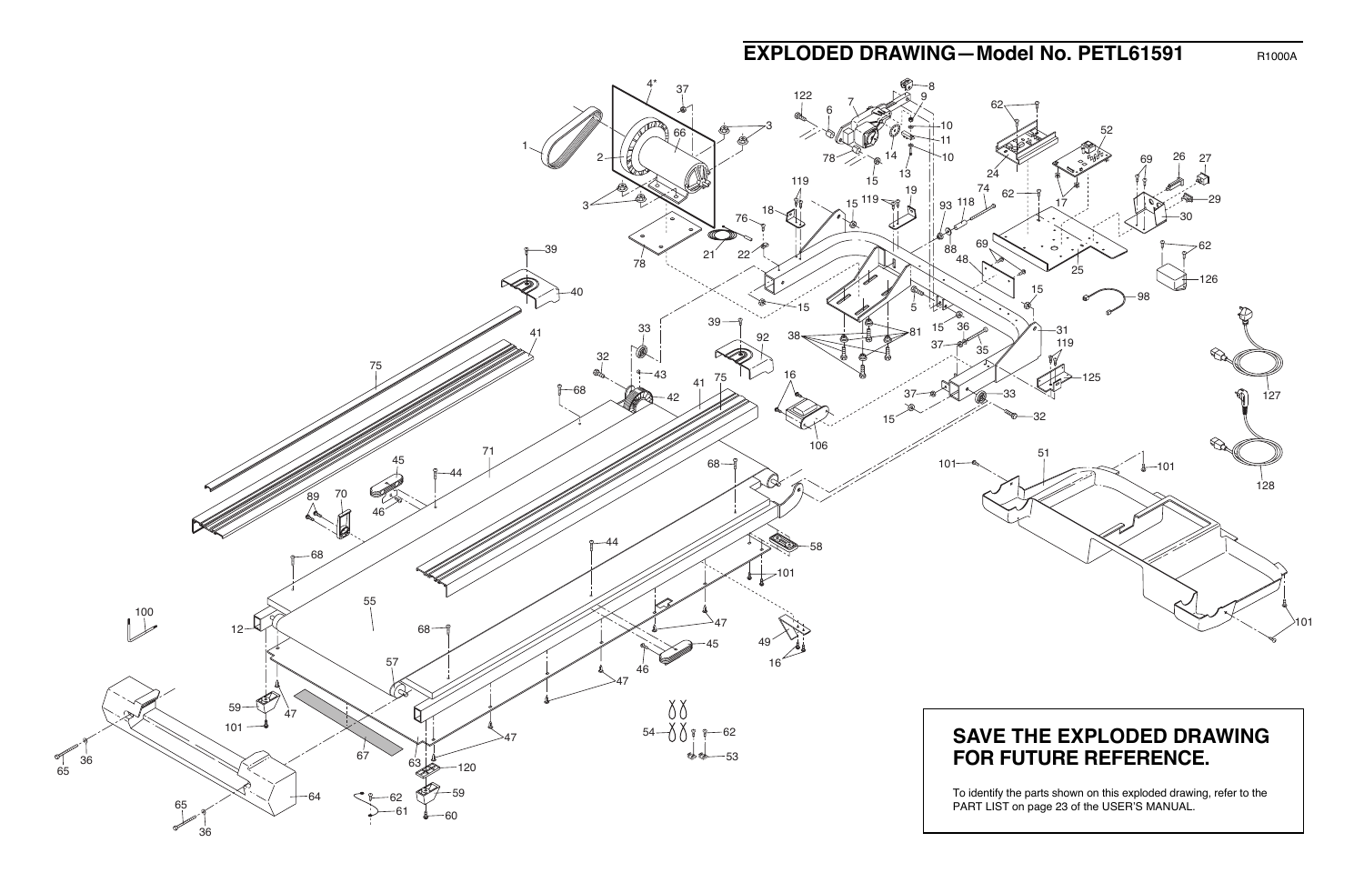## **EXPLODED DRAWING—Model No. PETL61591** R1000A